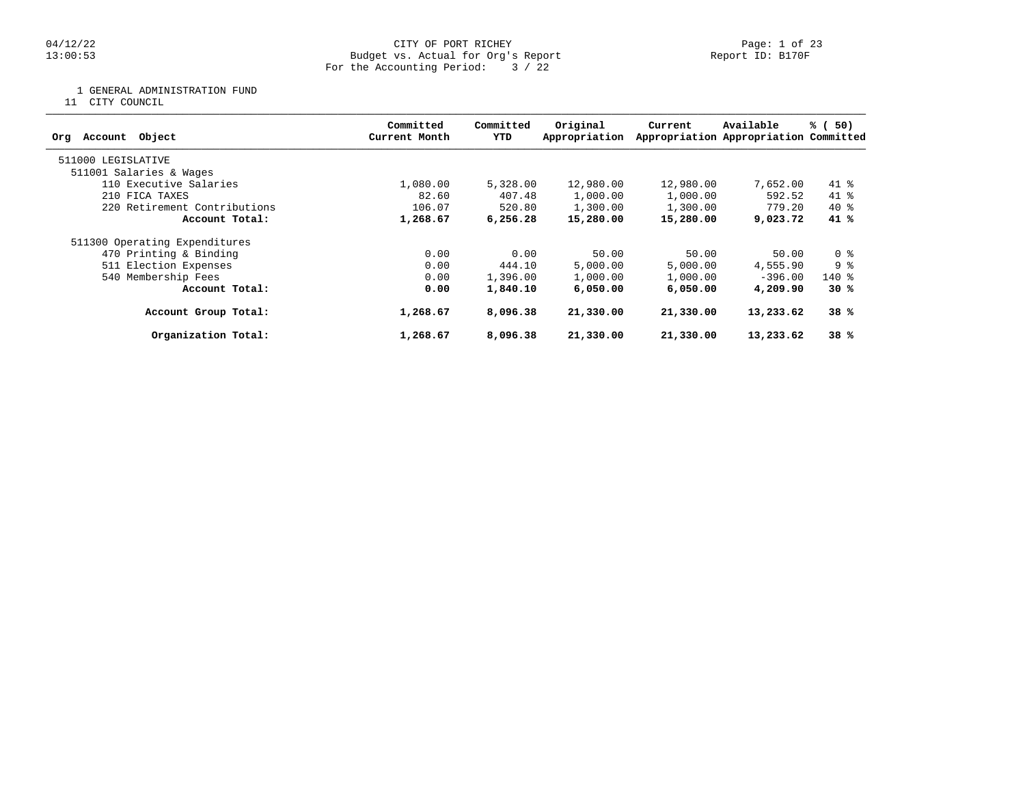#### 04/12/22 Page: 1 of 23 13:00:53 Budget vs. Actual for Org's Report Report ID: B170F For the Accounting Period: 3 / 22

1 GENERAL ADMINISTRATION FUND

11 CITY COUNCIL

| Object<br>Account<br>Org      | Committed<br>Current Month | Committed<br>YTD | Original<br>Appropriation | Current   | Available<br>Appropriation Appropriation Committed | % (50) |
|-------------------------------|----------------------------|------------------|---------------------------|-----------|----------------------------------------------------|--------|
| 511000 LEGISLATIVE            |                            |                  |                           |           |                                                    |        |
| 511001 Salaries & Wages       |                            |                  |                           |           |                                                    |        |
| 110 Executive Salaries        | 1,080.00                   | 5,328.00         | 12,980.00                 | 12,980.00 | 7,652.00                                           | $41*$  |
| 210 FICA TAXES                | 82.60                      | 407.48           | 1,000.00                  | 1,000.00  | 592.52                                             | $41*$  |
| 220 Retirement Contributions  | 106.07                     | 520.80           | 1,300.00                  | 1,300.00  | 779.20                                             | $40*$  |
| Account Total:                | 1,268.67                   | 6,256.28         | 15,280.00                 | 15,280.00 | 9,023.72                                           | 41 %   |
| 511300 Operating Expenditures |                            |                  |                           |           |                                                    |        |
| 470 Printing & Binding        | 0.00                       | 0.00             | 50.00                     | 50.00     | 50.00                                              | 0 %    |
| 511 Election Expenses         | 0.00                       | 444.10           | 5,000.00                  | 5,000.00  | 4,555.90                                           | 9 %    |
| 540 Membership Fees           | 0.00                       | 1,396.00         | 1,000.00                  | 1,000.00  | $-396.00$                                          | $140*$ |
| Account Total:                | 0.00                       | 1,840.10         | 6,050,00                  | 6,050,00  | 4,209.90                                           | 30%    |
| Account Group Total:          | 1,268.67                   | 8,096.38         | 21,330.00                 | 21,330.00 | 13,233.62                                          | 38%    |
| Organization Total:           | 1,268.67                   | 8,096.38         | 21,330.00                 | 21,330.00 | 13,233.62                                          | 38%    |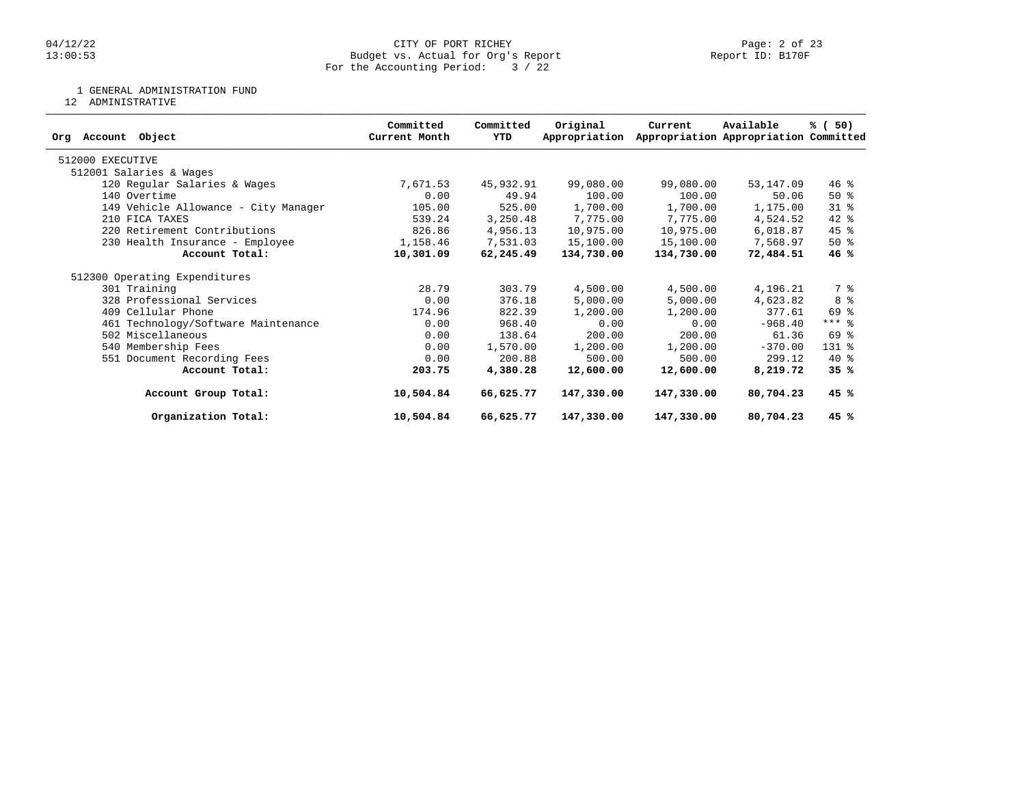#### 04/12/22 Page: 2 of 23 13:00:53 Budget vs. Actual for Org's Report Report ID: B170F For the Accounting Period: 3 / 22

1 GENERAL ADMINISTRATION FUND

12 ADMINISTRATIVE

| Object<br>Account<br>Org             | Committed<br>Current Month | Committed<br>YTD | Original<br>Appropriation | Current    | Available<br>Appropriation Appropriation Committed | % (50)    |
|--------------------------------------|----------------------------|------------------|---------------------------|------------|----------------------------------------------------|-----------|
| 512000 EXECUTIVE                     |                            |                  |                           |            |                                                    |           |
| 512001 Salaries & Wages              |                            |                  |                           |            |                                                    |           |
| 120 Regular Salaries & Wages         | 7,671.53                   | 45,932.91        | 99,080.00                 | 99,080.00  | 53,147.09                                          | $46$ %    |
| 140 Overtime                         | 0.00                       | 49.94            | 100.00                    | 100.00     | 50.06                                              | $50*$     |
| 149 Vehicle Allowance - City Manager | 105.00                     | 525.00           | 1,700.00                  | 1,700.00   | 1,175.00                                           | $31$ %    |
| 210 FICA TAXES                       | 539.24                     | 3,250.48         | 7,775.00                  | 7,775.00   | 4,524.52                                           | 42 %      |
| 220 Retirement Contributions         | 826.86                     | 4,956.13         | 10,975.00                 | 10,975.00  | 6,018.87                                           | $45$ %    |
| 230 Health Insurance - Employee      | 1,158.46                   | 7,531.03         | 15,100.00                 | 15,100.00  | 7,568.97                                           | $50*$     |
| Account Total:                       | 10,301.09                  | 62,245.49        | 134,730.00                | 134,730.00 | 72,484.51                                          | 46%       |
| 512300 Operating Expenditures        |                            |                  |                           |            |                                                    |           |
| 301 Training                         | 28.79                      | 303.79           | 4,500.00                  | 4,500.00   | 4,196.21                                           | 7 %       |
| 328 Professional Services            | 0.00                       | 376.18           | 5,000.00                  | 5,000.00   | 4,623.82                                           | 8 %       |
| 409 Cellular Phone                   | 174.96                     | 822.39           | 1,200.00                  | 1,200.00   | 377.61                                             | 69 %      |
| 461 Technology/Software Maintenance  | 0.00                       | 968.40           | 0.00                      | 0.00       | $-968.40$                                          | $***$ $%$ |
| 502 Miscellaneous                    | 0.00                       | 138.64           | 200.00                    | 200.00     | 61.36                                              | 69 %      |
| 540 Membership Fees                  | 0.00                       | 1,570.00         | 1,200.00                  | 1,200.00   | $-370.00$                                          | 131 %     |
| 551 Document Recording Fees          | 0.00                       | 200.88           | 500.00                    | 500.00     | 299.12                                             | $40*$     |
| Account Total:                       | 203.75                     | 4,380.28         | 12,600.00                 | 12,600.00  | 8,219.72                                           | 35%       |
| Account Group Total:                 | 10,504.84                  | 66,625.77        | 147,330.00                | 147,330.00 | 80,704.23                                          | 45 %      |
| Organization Total:                  | 10,504.84                  | 66,625.77        | 147,330.00                | 147,330.00 | 80,704.23                                          | 45 %      |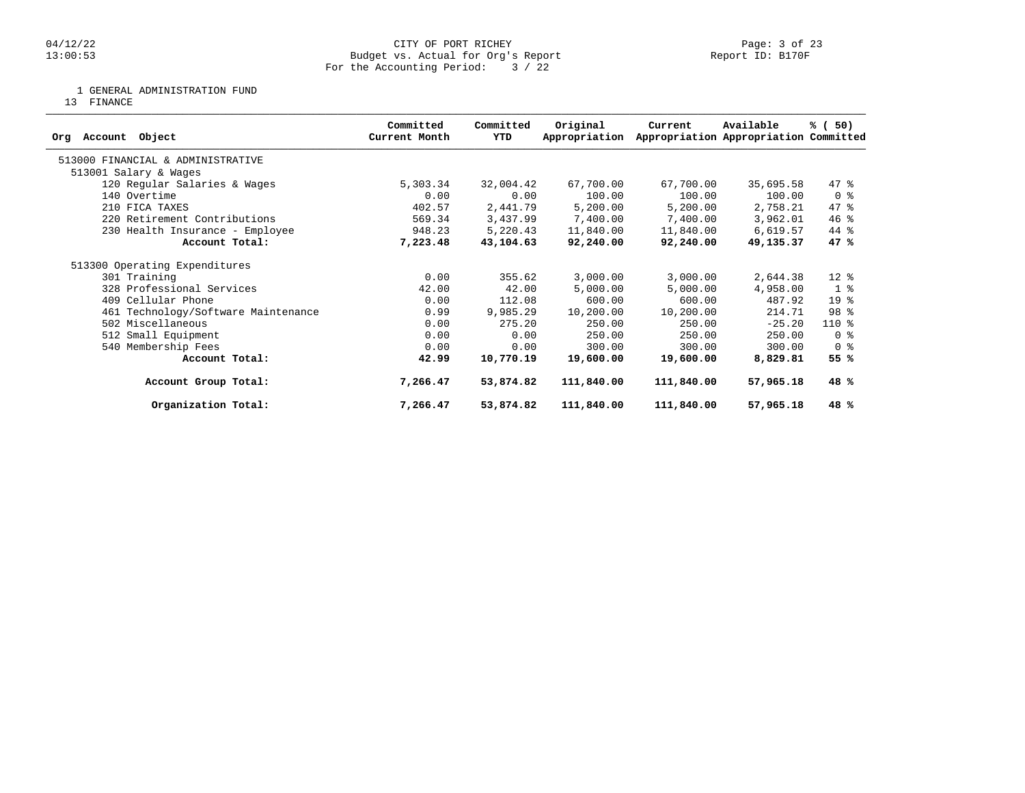1 GENERAL ADMINISTRATION FUND

13 FINANCE

| Object<br>Account<br>Ora            | Committed<br>Current Month | Committed<br>YTD | Original<br>Appropriation | Current    | Available<br>Appropriation Appropriation Committed | % (50)          |
|-------------------------------------|----------------------------|------------------|---------------------------|------------|----------------------------------------------------|-----------------|
|                                     |                            |                  |                           |            |                                                    |                 |
| 513000 FINANCIAL & ADMINISTRATIVE   |                            |                  |                           |            |                                                    |                 |
| 513001 Salary & Wages               |                            |                  |                           |            |                                                    |                 |
| 120 Regular Salaries & Wages        | 5,303.34                   | 32,004.42        | 67,700.00                 | 67,700.00  | 35,695.58                                          | $47$ %          |
| 140 Overtime                        | 0.00                       | 0.00             | 100.00                    | 100.00     | 100.00                                             | 0 %             |
| 210 FICA TAXES                      | 402.57                     | 2,441.79         | 5,200.00                  | 5,200.00   | 2,758.21                                           | 47.8            |
| 220 Retirement Contributions        | 569.34                     | 3,437.99         | 7,400.00                  | 7,400.00   | 3,962.01                                           | $46$ %          |
| 230 Health Insurance - Employee     | 948.23                     | 5,220.43         | 11,840.00                 | 11,840.00  | 6,619.57                                           | 44 %            |
| Account Total:                      | 7,223.48                   | 43,104.63        | 92,240.00                 | 92,240.00  | 49,135.37                                          | 47 %            |
| 513300 Operating Expenditures       |                            |                  |                           |            |                                                    |                 |
| 301 Training                        | 0.00                       | 355.62           | 3,000.00                  | 3,000.00   | 2,644.38                                           | $12*$           |
| 328 Professional Services           | 42.00                      | 42.00            | 5,000.00                  | 5,000.00   | 4,958.00                                           | 1 <sup>°</sup>  |
| 409 Cellular Phone                  | 0.00                       | 112.08           | 600.00                    | 600.00     | 487.92                                             | 19 <sup>°</sup> |
| 461 Technology/Software Maintenance | 0.99                       | 9,985.29         | 10,200.00                 | 10,200.00  | 214.71                                             | 98 %            |
| 502 Miscellaneous                   | 0.00                       | 275.20           | 250.00                    | 250.00     | $-25.20$                                           | $110*$          |
| 512 Small Equipment                 | 0.00                       | 0.00             | 250.00                    | 250.00     | 250.00                                             | 0 <sup>8</sup>  |
| 540 Membership Fees                 | 0.00                       | 0.00             | 300.00                    | 300.00     | 300.00                                             | 0 %             |
| Account Total:                      | 42.99                      | 10,770.19        | 19,600.00                 | 19,600.00  | 8,829.81                                           | 55 %            |
| Account Group Total:                | 7,266.47                   | 53,874.82        | 111,840.00                | 111,840.00 | 57,965.18                                          | 48%             |
| Organization Total:                 | 7,266.47                   | 53,874.82        | 111,840.00                | 111,840.00 | 57,965.18                                          | 48 %            |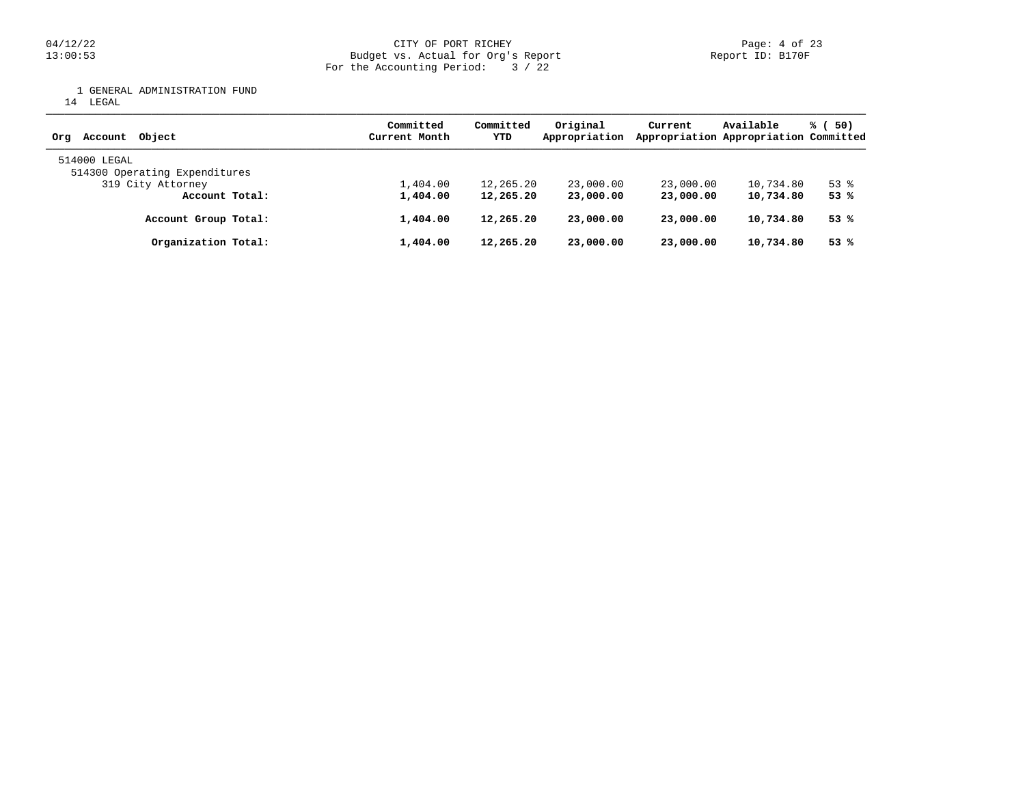## 04/12/22 CITY OF PORT RICHEY PART RICHEY PAGE: 4 of 23<br>13:00:53 Budget vs. Actual for Org's Report Page: 4 Of 23 Budget vs. Actual for Org's Report For the Accounting Period: 3 / 22

1 GENERAL ADMINISTRATION FUND

14 LEGAL

| Account Object<br>Ora                         | Committed<br>Current Month | Committed<br>YTD | Original<br>Appropriation | Current   | Available<br>Appropriation Appropriation Committed | % (50)   |
|-----------------------------------------------|----------------------------|------------------|---------------------------|-----------|----------------------------------------------------|----------|
| 514000 LEGAL<br>514300 Operating Expenditures |                            |                  |                           |           |                                                    |          |
| 319 City Attorney                             | 1,404.00                   | 12,265.20        | 23,000.00                 | 23,000.00 | 10,734.80                                          | $53$ $%$ |
| Account Total:                                | 1,404.00                   | 12,265.20        | 23,000.00                 | 23,000,00 | 10,734.80                                          | 53%      |
| Account Group Total:                          | 1,404.00                   | 12,265.20        | 23,000.00                 | 23,000.00 | 10,734.80                                          | 53 %     |
| Organization Total:                           | 1,404.00                   | 12,265.20        | 23,000.00                 | 23,000.00 | 10,734.80                                          | 53%      |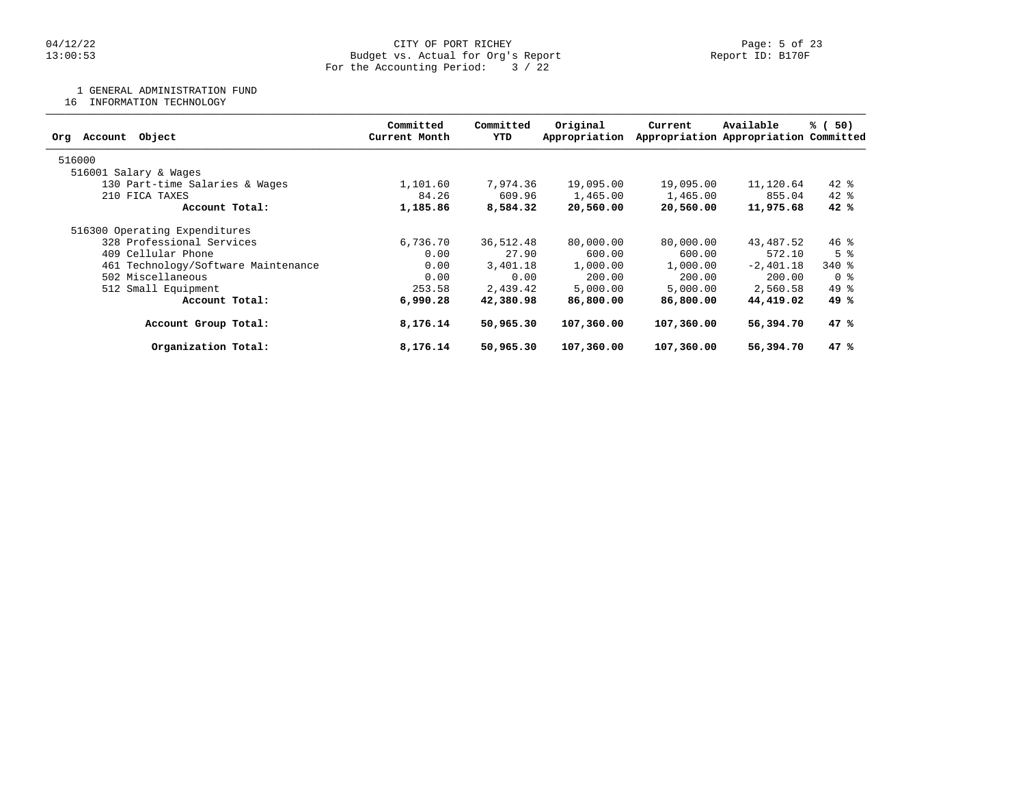#### 04/12/22 Page: 5 of 23 13:00:53 Budget vs. Actual for Org's Report Report ID: B170F For the Accounting Period: 3 / 22

1 GENERAL ADMINISTRATION FUND

16 INFORMATION TECHNOLOGY

| Object<br>Account<br>Org            | Committed<br>Current Month | Committed<br>YTD | Original<br>Appropriation | Current    | Available<br>Appropriation Appropriation Committed | 50)<br>% (     |
|-------------------------------------|----------------------------|------------------|---------------------------|------------|----------------------------------------------------|----------------|
| 516000                              |                            |                  |                           |            |                                                    |                |
| 516001 Salary & Wages               |                            |                  |                           |            |                                                    |                |
| 130 Part-time Salaries & Wages      | 1,101.60                   | 7,974.36         | 19,095.00                 | 19,095.00  | 11,120.64                                          | $42*$          |
| 210 FICA TAXES                      | 84.26                      | 609.96           | 1,465.00                  | 1,465.00   | 855.04                                             | $42*$          |
| Account Total:                      | 1,185.86                   | 8,584.32         | 20,560.00                 | 20,560.00  | 11,975.68                                          | 42%            |
| 516300 Operating Expenditures       |                            |                  |                           |            |                                                    |                |
| 328 Professional Services           | 6,736.70                   | 36,512.48        | 80,000.00                 | 80,000.00  | 43,487.52                                          | $46*$          |
| 409 Cellular Phone                  | 0.00                       | 27.90            | 600.00                    | 600.00     | 572.10                                             | 5 <sup>8</sup> |
| 461 Technology/Software Maintenance | 0.00                       | 3,401.18         | 1,000.00                  | 1,000.00   | $-2,401.18$                                        | $340*$         |
| 502 Miscellaneous                   | 0.00                       | 0.00             | 200.00                    | 200.00     | 200.00                                             | 0 <sup>8</sup> |
| 512 Small Equipment                 | 253.58                     | 2,439.42         | 5,000.00                  | 5,000.00   | 2,560.58                                           | $49*$          |
| Account Total:                      | 6,990.28                   | 42,380.98        | 86,800.00                 | 86,800.00  | 44,419.02                                          | 49 %           |
| Account Group Total:                | 8,176.14                   | 50,965.30        | 107,360.00                | 107,360.00 | 56,394.70                                          | 47%            |
| Organization Total:                 | 8,176.14                   | 50,965.30        | 107,360.00                | 107,360.00 | 56,394.70                                          | 47 %           |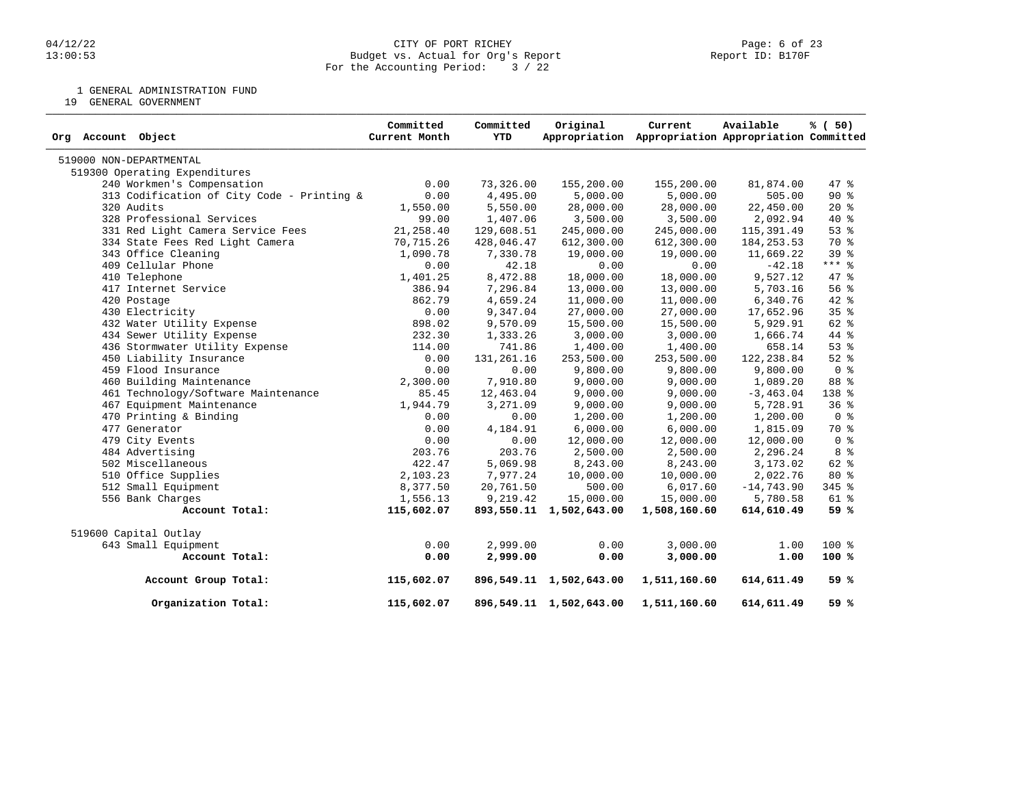#### 04/12/22 CITY OF PORT RICHEY Page: 6 of 23 13:00:53 Budget vs. Actual for Org's Report Report ID: B170F For the Accounting Period: 3 / 22

1 GENERAL ADMINISTRATION FUND

19 GENERAL GOVERNMENT

| Org Account Object                         | Committed<br>Current Month | Committed<br>YTD | Original                | Current<br>Appropriation Appropriation Appropriation Committed | Available    | % (50)          |
|--------------------------------------------|----------------------------|------------------|-------------------------|----------------------------------------------------------------|--------------|-----------------|
| 519000 NON-DEPARTMENTAL                    |                            |                  |                         |                                                                |              |                 |
| 519300 Operating Expenditures              |                            |                  |                         |                                                                |              |                 |
| 240 Workmen's Compensation                 | 0.00                       | 73,326.00        | 155,200.00              | 155,200.00                                                     | 81,874.00    | 47.8            |
| 313 Codification of City Code - Printing & | 0.00                       | 4,495.00         | 5,000.00                | 5,000.00                                                       | 505.00       | 90%             |
| 320 Audits                                 | 1,550.00                   | 5,550.00         | 28,000.00               | 28,000.00                                                      | 22,450.00    | $20*$           |
| 328 Professional Services                  | 99.00                      | 1,407.06         | 3,500.00                | 3,500.00                                                       | 2,092.94     | 40 %            |
| 331 Red Light Camera Service Fees          | 21,258.40                  | 129,608.51       | 245,000.00              | 245,000.00                                                     | 115,391.49   | 53%             |
| 334 State Fees Red Light Camera            | 70,715.26                  | 428,046.47       | 612,300.00              | 612,300.00                                                     | 184, 253.53  | 70 %            |
| 343 Office Cleaning                        | 1,090.78                   | 7,330.78         | 19,000.00               | 19,000.00                                                      | 11,669.22    | 39 <sup>8</sup> |
| 409 Cellular Phone                         | 0.00                       | 42.18            | 0.00                    | 0.00                                                           | $-42.18$     | $***$ 8         |
| 410 Telephone                              | 1,401.25                   | 8,472.88         | 18,000.00               | 18,000.00                                                      | 9,527.12     | $47*$           |
| 417 Internet Service                       | 386.94                     | 7,296.84         | 13,000.00               | 13,000.00                                                      | 5,703.16     | 56%             |
| 420 Postage                                | 862.79                     | 4,659.24         | 11,000.00               | 11,000.00                                                      | 6,340.76     | $42*$           |
| 430 Electricity                            | 0.00                       | 9,347.04         | 27,000.00               | 27,000.00                                                      | 17,652.96    | 35 <sup>8</sup> |
| 432 Water Utility Expense                  | 898.02                     | 9,570.09         | 15,500.00               | 15,500.00                                                      | 5,929.91     | $62$ $%$        |
| 434 Sewer Utility Expense                  | 232.30                     | 1,333.26         | 3,000.00                | 3,000.00                                                       | 1,666.74     | 44 %            |
| 436 Stormwater Utility Expense             | 114.00                     | 741.86           | 1,400.00                | 1,400.00                                                       | 658.14       | 53%             |
| 450 Liability Insurance                    | 0.00                       | 131, 261. 16     | 253,500.00              | 253,500.00                                                     | 122,238.84   | $52$ $%$        |
| 459 Flood Insurance                        | 0.00                       | 0.00             | 9,800.00                | 9,800.00                                                       | 9,800.00     | 0 <sup>8</sup>  |
| 460 Building Maintenance                   | 2,300.00                   | 7,910.80         | 9,000.00                | 9,000.00                                                       | 1,089.20     | 88 %            |
| 461 Technology/Software Maintenance        | 85.45                      | 12,463.04        | 9,000.00                | 9,000.00                                                       | $-3, 463.04$ | 138 %           |
| 467 Equipment Maintenance                  | 1,944.79                   | 3,271.09         | 9,000.00                | 9,000.00                                                       | 5,728.91     | 36%             |
| 470 Printing & Binding                     | 0.00                       | 0.00             | 1,200.00                | 1,200.00                                                       | 1,200.00     | 0 <sup>8</sup>  |
| 477 Generator                              | 0.00                       | 4,184.91         | 6,000.00                | 6,000.00                                                       | 1,815.09     | 70 %            |
| 479 City Events                            | 0.00                       | 0.00             | 12,000.00               | 12,000.00                                                      | 12,000.00    | 0 <sup>8</sup>  |
| 484 Advertising                            | 203.76                     | 203.76           | 2,500.00                | 2,500.00                                                       | 2,296.24     | 8 <sup>8</sup>  |
| 502 Miscellaneous                          | 422.47                     | 5,069.98         | 8,243.00                | 8,243.00                                                       | 3,173.02     | 62 %            |
| 510 Office Supplies                        | 2,103.23                   | 7,977.24         | 10,000.00               | 10,000.00                                                      | 2,022.76     | 80%             |
| 512 Small Equipment                        | 8,377.50                   | 20,761.50        | 500.00                  | 6,017.60                                                       | $-14,743.90$ | 345 %           |
| 556 Bank Charges                           | 1,556.13                   | 9,219.42         | 15,000.00               | 15,000.00                                                      | 5,780.58     | 61 %            |
| Account Total:                             | 115,602.07                 |                  | 893,550.11 1,502,643.00 | 1,508,160.60                                                   | 614,610.49   | 59 %            |
| 519600 Capital Outlay                      |                            |                  |                         |                                                                |              |                 |
| 643 Small Equipment                        | 0.00                       | 2,999.00         | 0.00                    | 3,000.00                                                       | 1.00         | $100*$          |
| Account Total:                             | 0.00                       | 2,999.00         | 0.00                    | 3,000.00                                                       | 1.00         | 100%            |
| Account Group Total:                       | 115,602.07                 |                  | 896,549.11 1,502,643.00 | 1,511,160.60                                                   | 614,611.49   | 59%             |
| Organization Total:                        | 115,602.07                 |                  | 896,549.11 1,502,643.00 | 1,511,160.60                                                   | 614,611.49   | 59 %            |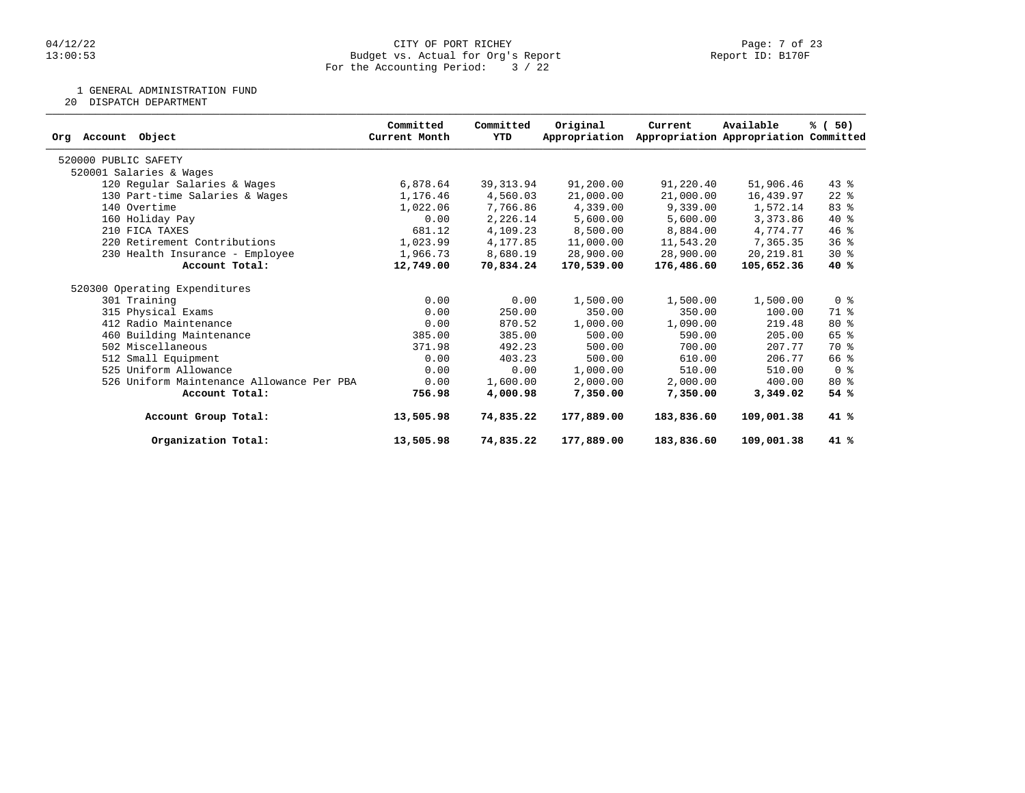#### 04/12/22 CITY OF PORT RICHEY Page: 7 of 23 13:00:53 Budget vs. Actual for Org's Report Report ID: B170F For the Accounting Period: 3 / 22

1 GENERAL ADMINISTRATION FUND

20 DISPATCH DEPARTMENT

|                                           | Committed     | Committed  | Original      | Current    | Available                             | % (50)         |
|-------------------------------------------|---------------|------------|---------------|------------|---------------------------------------|----------------|
| Object<br>Account<br>Org                  | Current Month | YTD        | Appropriation |            | Appropriation Appropriation Committed |                |
| 520000 PUBLIC SAFETY                      |               |            |               |            |                                       |                |
| 520001 Salaries & Wages                   |               |            |               |            |                                       |                |
| 120 Regular Salaries & Wages              | 6,878.64      | 39, 313.94 | 91,200.00     | 91,220.40  | 51,906.46                             | $43*$          |
| 130 Part-time Salaries & Wages            | 1,176.46      | 4,560.03   | 21,000.00     | 21,000.00  | 16,439.97                             | $22$ %         |
| 140 Overtime                              | 1,022.06      | 7,766.86   | 4,339.00      | 9,339.00   | 1,572.14                              | 83%            |
| 160 Holiday Pay                           | 0.00          | 2,226.14   | 5,600.00      | 5,600.00   | 3,373.86                              | 40 %           |
| 210 FICA TAXES                            | 681.12        | 4,109.23   | 8,500.00      | 8,884.00   | 4,774.77                              | $46$ %         |
| 220 Retirement Contributions              | 1,023.99      | 4,177.85   | 11,000.00     | 11,543.20  | 7,365.35                              | 36%            |
| 230 Health Insurance - Employee           | 1,966.73      | 8,680.19   | 28,900.00     | 28,900.00  | 20, 219.81                            | $30*$          |
| Account Total:                            | 12,749.00     | 70,834.24  | 170,539.00    | 176,486.60 | 105,652.36                            | 40%            |
| 520300 Operating Expenditures             |               |            |               |            |                                       |                |
| 301 Training                              | 0.00          | 0.00       | 1,500.00      | 1,500.00   | 1,500.00                              | 0 <sup>8</sup> |
| 315 Physical Exams                        | 0.00          | 250.00     | 350.00        | 350.00     | 100.00                                | 71 %           |
| 412 Radio Maintenance                     | 0.00          | 870.52     | 1,000.00      | 1,090.00   | 219.48                                | $80*$          |
| 460 Building Maintenance                  | 385.00        | 385.00     | 500.00        | 590.00     | 205.00                                | $65$ $%$       |
| 502 Miscellaneous                         | 371.98        | 492.23     | 500.00        | 700.00     | 207.77                                | 70 %           |
| 512 Small Equipment                       | 0.00          | 403.23     | 500.00        | 610.00     | 206.77                                | 66 %           |
| 525 Uniform Allowance                     | 0.00          | 0.00       | 1,000.00      | 510.00     | 510.00                                | 0 <sup>8</sup> |
| 526 Uniform Maintenance Allowance Per PBA | 0.00          | 1,600.00   | 2,000.00      | 2,000.00   | 400.00                                | $80*$          |
| Account Total:                            | 756.98        | 4,000.98   | 7,350.00      | 7,350.00   | 3,349.02                              | 54%            |
| Account Group Total:                      | 13,505.98     | 74,835.22  | 177,889.00    | 183,836.60 | 109,001.38                            | 41 %           |
| Organization Total:                       | 13,505.98     | 74,835.22  | 177,889.00    | 183,836.60 | 109,001.38                            | 41 %           |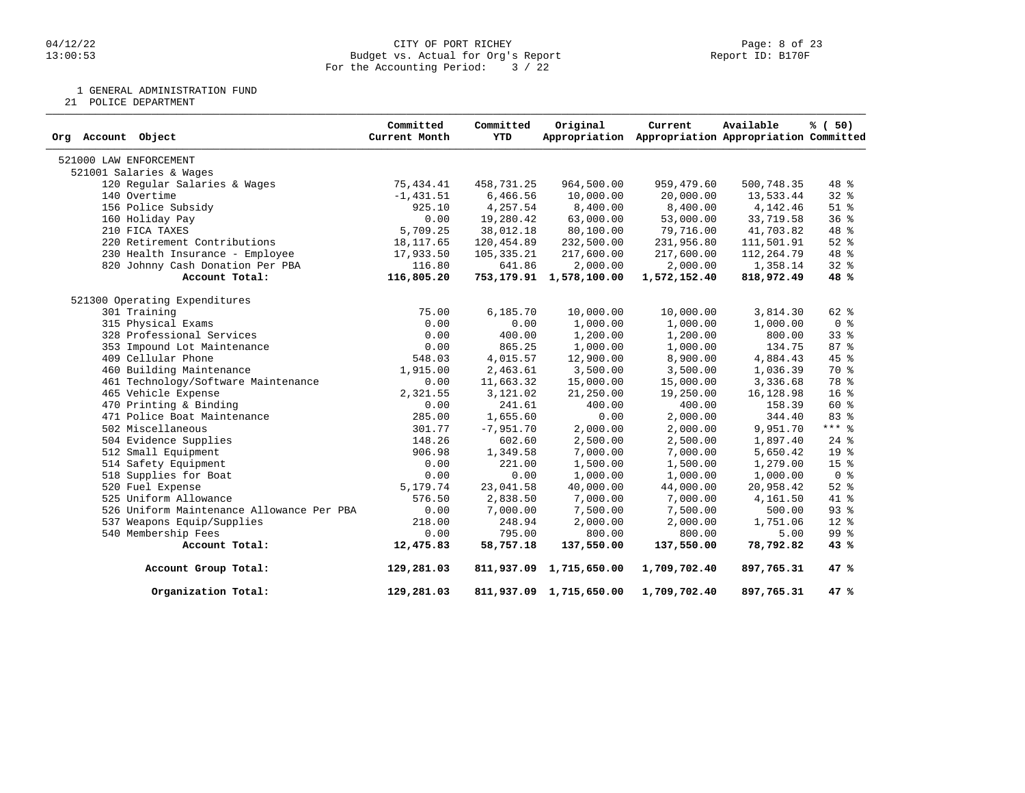#### 04/12/22 CITY OF PORT RICHEY Page: 8 of 23 13:00:53 Budget vs. Actual for Org's Report Report ID: B170F For the Accounting Period: 3 / 22

1 GENERAL ADMINISTRATION FUND

21 POLICE DEPARTMENT

| Org Account Object                        | Committed<br>Current Month | Committed<br><b>YTD</b> | Original                   | Current<br>Appropriation Appropriation Appropriation Committed | Available  | % (50)          |
|-------------------------------------------|----------------------------|-------------------------|----------------------------|----------------------------------------------------------------|------------|-----------------|
| 521000 LAW ENFORCEMENT                    |                            |                         |                            |                                                                |            |                 |
| 521001 Salaries & Wages                   |                            |                         |                            |                                                                |            |                 |
| 120 Regular Salaries & Wages              | 75,434.41                  | 458,731.25              | 964,500.00                 | 959,479.60                                                     | 500,748.35 | 48 %            |
| 140 Overtime                              | $-1, 431.51$               | 6,466.56                | 10,000.00                  | 20,000.00                                                      | 13,533.44  | $32$ $%$        |
| 156 Police Subsidy                        | 925.10                     | 4,257.54                | 8,400.00                   | 8,400.00                                                       | 4,142.46   | $51$ %          |
| 160 Holiday Pay                           | 0.00                       | 19,280.42               | 63,000.00                  | 53,000.00                                                      | 33,719.58  | 36%             |
| 210 FICA TAXES                            | 5,709.25                   | 38,012.18               | 80,100.00                  | 79,716.00                                                      | 41,703.82  | 48 %            |
| 220 Retirement Contributions              | 18, 117.65                 | 120,454.89              | 232,500.00                 | 231,956.80                                                     | 111,501.91 | $52$ $%$        |
| 230 Health Insurance - Employee           | 17,933.50                  | 105,335.21              | 217,600.00                 | 217,600.00                                                     | 112,264.79 | 48 %            |
| 820 Johnny Cash Donation Per PBA          | 116.80                     | 641.86                  | 2,000.00                   | 2,000.00                                                       | 1,358.14   | $32$ $%$        |
| Account Total:                            | 116,805.20                 |                         | 753, 179.91 1, 578, 100.00 | 1,572,152.40                                                   | 818,972.49 | 48 %            |
| 521300 Operating Expenditures             |                            |                         |                            |                                                                |            |                 |
| 301 Training                              | 75.00                      | 6,185.70                | 10,000.00                  | 10,000.00                                                      | 3,814.30   | 62 %            |
| 315 Physical Exams                        | 0.00                       | 0.00                    | 1,000.00                   | 1,000.00                                                       | 1,000.00   | 0 <sup>8</sup>  |
| 328 Professional Services                 | 0.00                       | 400.00                  | 1,200.00                   | 1,200.00                                                       | 800.00     | 33%             |
| 353 Impound Lot Maintenance               | 0.00                       | 865.25                  | 1,000.00                   | 1,000.00                                                       | 134.75     | 87%             |
| 409 Cellular Phone                        | 548.03                     | 4,015.57                | 12,900.00                  | 8,900.00                                                       | 4,884.43   | 45 %            |
| 460 Building Maintenance                  | 1,915.00                   | 2,463.61                | 3,500.00                   | 3,500.00                                                       | 1,036.39   | 70 %            |
| 461 Technology/Software Maintenance       | 0.00                       | 11,663.32               | 15,000.00                  | 15,000.00                                                      | 3,336.68   | 78 %            |
| 465 Vehicle Expense                       | 2,321.55                   | 3,121.02                | 21,250.00                  | 19,250.00                                                      | 16,128.98  | 16 <sup>8</sup> |
| 470 Printing & Binding                    | 0.00                       | 241.61                  | 400.00                     | 400.00                                                         | 158.39     | $60*$           |
| 471 Police Boat Maintenance               | 285.00                     | 1,655.60                | 0.00                       | 2,000.00                                                       | 344.40     | 83 %            |
| 502 Miscellaneous                         | 301.77                     | $-7,951.70$             | 2,000.00                   | 2,000.00                                                       | 9,951.70   | $***$ 8         |
| 504 Evidence Supplies                     | 148.26                     | 602.60                  | 2,500.00                   | 2,500.00                                                       | 1,897.40   | $24$ $%$        |
| 512 Small Equipment                       | 906.98                     | 1,349.58                | 7,000.00                   | 7,000.00                                                       | 5,650.42   | 19 <sup>°</sup> |
| 514 Safety Equipment                      | 0.00                       | 221.00                  | 1,500.00                   | 1,500.00                                                       | 1,279.00   | 15 <sup>8</sup> |
| 518 Supplies for Boat                     | 0.00                       | 0.00                    | 1,000.00                   | 1,000.00                                                       | 1,000.00   | 0 <sup>8</sup>  |
| 520 Fuel Expense                          | 5,179.74                   | 23,041.58               | 40,000.00                  | 44,000.00                                                      | 20,958.42  | $52$ $%$        |
| 525 Uniform Allowance                     | 576.50                     | 2,838.50                | 7,000.00                   | 7,000.00                                                       | 4,161.50   | 41 %            |
| 526 Uniform Maintenance Allowance Per PBA | 0.00                       | 7,000.00                | 7,500.00                   | 7,500.00                                                       | 500.00     | 93%             |
| 537 Weapons Equip/Supplies                | 218.00                     | 248.94                  | 2,000.00                   | 2,000.00                                                       | 1,751.06   | $12*$           |
| 540 Membership Fees                       | 0.00                       | 795.00                  | 800.00                     | 800.00                                                         | 5.00       | 99 <sub>8</sub> |
| Account Total:                            | 12,475.83                  | 58,757.18               | 137,550.00                 | 137,550.00                                                     | 78,792.82  | 43%             |
| Account Group Total:                      | 129,281.03                 |                         | 811,937.09 1,715,650.00    | 1,709,702.40                                                   | 897,765.31 | 47 %            |
| Organization Total:                       | 129,281.03                 |                         | 811,937.09 1,715,650.00    | 1,709,702.40                                                   | 897,765.31 | 47 %            |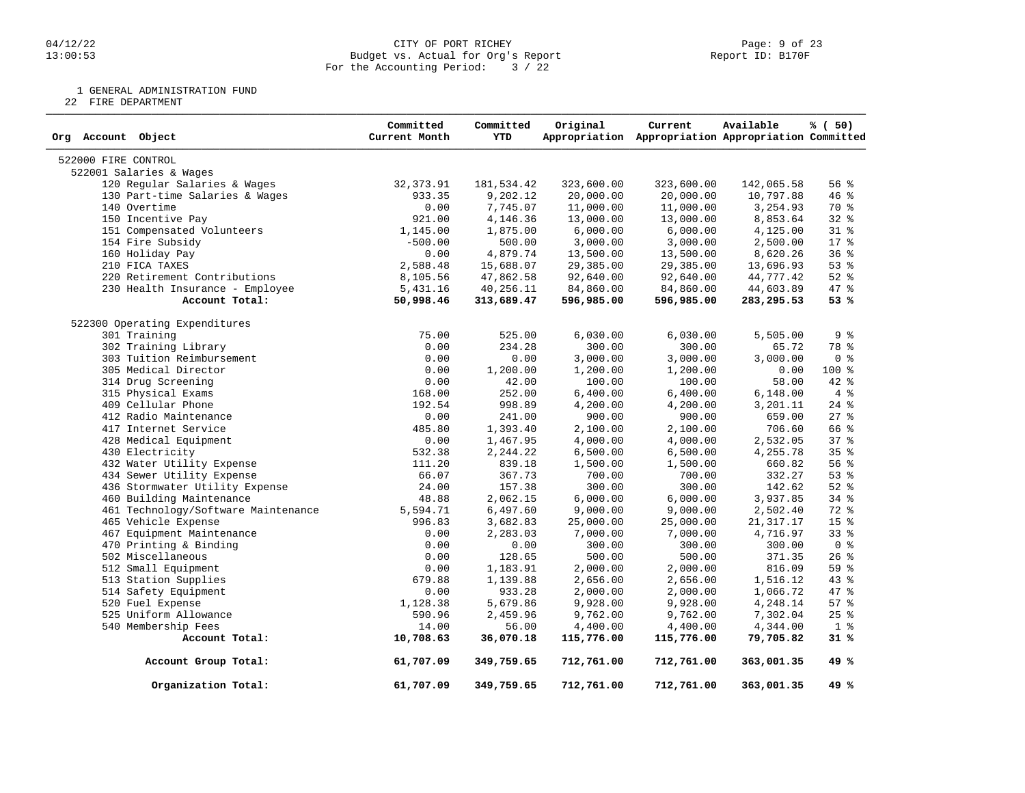#### 04/12/22 CITY OF PORT RICHEY Page: 9 of 23 13:00:53 Budget vs. Actual for Org's Report Report ID: B170F For the Accounting Period: 3 / 22

1 GENERAL ADMINISTRATION FUND

22 FIRE DEPARTMENT

| Org Account Object                  | Committed<br>Current Month | Committed<br><b>YTD</b> | Original   | Current<br>Appropriation Appropriation Appropriation Committed | Available   | % (50)          |
|-------------------------------------|----------------------------|-------------------------|------------|----------------------------------------------------------------|-------------|-----------------|
| 522000 FIRE CONTROL                 |                            |                         |            |                                                                |             |                 |
| 522001 Salaries & Wages             |                            |                         |            |                                                                |             |                 |
| 120 Regular Salaries & Wages        | 32, 373.91                 | 181,534.42              | 323,600.00 | 323,600.00                                                     | 142,065.58  | 56%             |
| 130 Part-time Salaries & Wages      | 933.35                     | 9,202.12                | 20,000.00  | 20,000.00                                                      | 10,797.88   | 46 %            |
| 140 Overtime                        | 0.00                       | 7,745.07                | 11,000.00  | 11,000.00                                                      | 3,254.93    | 70 %            |
| 150 Incentive Pay                   | 921.00                     | 4,146.36                | 13,000.00  | 13,000.00                                                      | 8,853.64    | $32$ $%$        |
| 151 Compensated Volunteers          | 1,145.00                   | 1,875.00                | 6,000.00   | 6,000.00                                                       | 4,125.00    | $31$ %          |
| 154 Fire Subsidy                    | $-500.00$                  | 500.00                  | 3,000.00   | 3,000.00                                                       | 2,500.00    | $17*$           |
| 160 Holiday Pay                     | 0.00                       | 4,879.74                | 13,500.00  | 13,500.00                                                      | 8,620.26    | 36%             |
| 210 FICA TAXES                      | 2,588.48                   | 15,688.07               | 29,385.00  | 29,385.00                                                      | 13,696.93   | 53%             |
| 220 Retirement Contributions        | 8,105.56                   | 47,862.58               | 92,640.00  | 92,640.00                                                      | 44,777.42   | $52$ $%$        |
| 230 Health Insurance - Employee     | 5,431.16                   | 40,256.11               | 84,860.00  | 84,860.00                                                      | 44,603.89   | 47 %            |
| Account Total:                      | 50,998.46                  | 313,689.47              | 596,985.00 | 596,985.00                                                     | 283, 295.53 | 53 %            |
| 522300 Operating Expenditures       |                            |                         |            |                                                                |             |                 |
| 301 Training                        | 75.00                      | 525.00                  | 6,030.00   | 6,030.00                                                       | 5,505.00    | 9%              |
| 302 Training Library                | 0.00                       | 234.28                  | 300.00     | 300.00                                                         | 65.72       | 78 %            |
| 303 Tuition Reimbursement           | 0.00                       | 0.00                    | 3,000.00   | 3,000.00                                                       | 3,000.00    | 0 <sup>8</sup>  |
| 305 Medical Director                | 0.00                       | 1,200.00                | 1,200.00   | 1,200.00                                                       | 0.00        | $100*$          |
| 314 Drug Screening                  | 0.00                       | 42.00                   | 100.00     | 100.00                                                         | 58.00       | 42 %            |
| 315 Physical Exams                  | 168.00                     | 252.00                  | 6,400.00   | 6,400.00                                                       | 6,148.00    | 4%              |
| 409 Cellular Phone                  | 192.54                     | 998.89                  | 4,200.00   | 4,200.00                                                       | 3,201.11    | $24$ %          |
| 412 Radio Maintenance               | 0.00                       | 241.00                  | 900.00     | 900.00                                                         | 659.00      | $27$ $%$        |
| 417 Internet Service                | 485.80                     | 1,393.40                | 2,100.00   | 2,100.00                                                       | 706.60      | 66 %            |
| 428 Medical Equipment               | 0.00                       | 1,467.95                | 4,000.00   | 4,000.00                                                       | 2,532.05    | 37 <sub>8</sub> |
| 430 Electricity                     | 532.38                     | 2,244.22                | 6,500.00   | 6,500.00                                                       | 4,255.78    | 35%             |
| 432 Water Utility Expense           | 111.20                     | 839.18                  | 1,500.00   | 1,500.00                                                       | 660.82      | 56%             |
| 434 Sewer Utility Expense           | 66.07                      | 367.73                  |            | 700.00                                                         | 332.27      | 53%             |
|                                     | 24.00                      | 157.38                  | 700.00     |                                                                |             | $52$ $%$        |
| 436 Stormwater Utility Expense      |                            |                         | 300.00     | 300.00                                                         | 142.62      |                 |
| 460 Building Maintenance            | 48.88                      | 2,062.15                | 6,000.00   | 6,000.00                                                       | 3,937.85    | 34 %            |
| 461 Technology/Software Maintenance | 5,594.71                   | 6,497.60                | 9,000.00   | 9,000.00                                                       | 2,502.40    | 72 %            |
| 465 Vehicle Expense                 | 996.83                     | 3,682.83                | 25,000.00  | 25,000.00                                                      | 21, 317.17  | 15 %            |
| 467 Equipment Maintenance           | 0.00                       | 2,283.03                | 7,000.00   | 7,000.00                                                       | 4,716.97    | 33%             |
| 470 Printing & Binding              | 0.00                       | 0.00                    | 300.00     | 300.00                                                         | 300.00      | 0 <sup>8</sup>  |
| 502 Miscellaneous                   | 0.00                       | 128.65                  | 500.00     | 500.00                                                         | 371.35      | 26%             |
| 512 Small Equipment                 | 0.00                       | 1,183.91                | 2,000.00   | 2,000.00                                                       | 816.09      | 59%             |
| 513 Station Supplies                | 679.88                     | 1,139.88                | 2,656.00   | 2,656.00                                                       | 1,516.12    | 43 %            |
| 514 Safety Equipment                | 0.00                       | 933.28                  | 2,000.00   | 2,000.00                                                       | 1,066.72    | 47 %            |
| 520 Fuel Expense                    | 1,128.38                   | 5,679.86                | 9,928.00   | 9,928.00                                                       | 4,248.14    | 57%             |
| 525 Uniform Allowance               | 590.96                     | 2,459.96                | 9,762.00   | 9,762.00                                                       | 7,302.04    | $25$ %          |
| 540 Membership Fees                 | 14.00                      | 56.00                   | 4,400.00   | 4,400.00                                                       | 4,344.00    | 1 <sup>8</sup>  |
| Account Total:                      | 10,708.63                  | 36,070.18               | 115,776.00 | 115,776.00                                                     | 79,705.82   | 31 %            |
| Account Group Total:                | 61,707.09                  | 349,759.65              | 712,761.00 | 712,761.00                                                     | 363,001.35  | 49 %            |
| Organization Total:                 | 61,707.09                  | 349,759.65              | 712,761.00 | 712,761.00                                                     | 363,001.35  | 49 %            |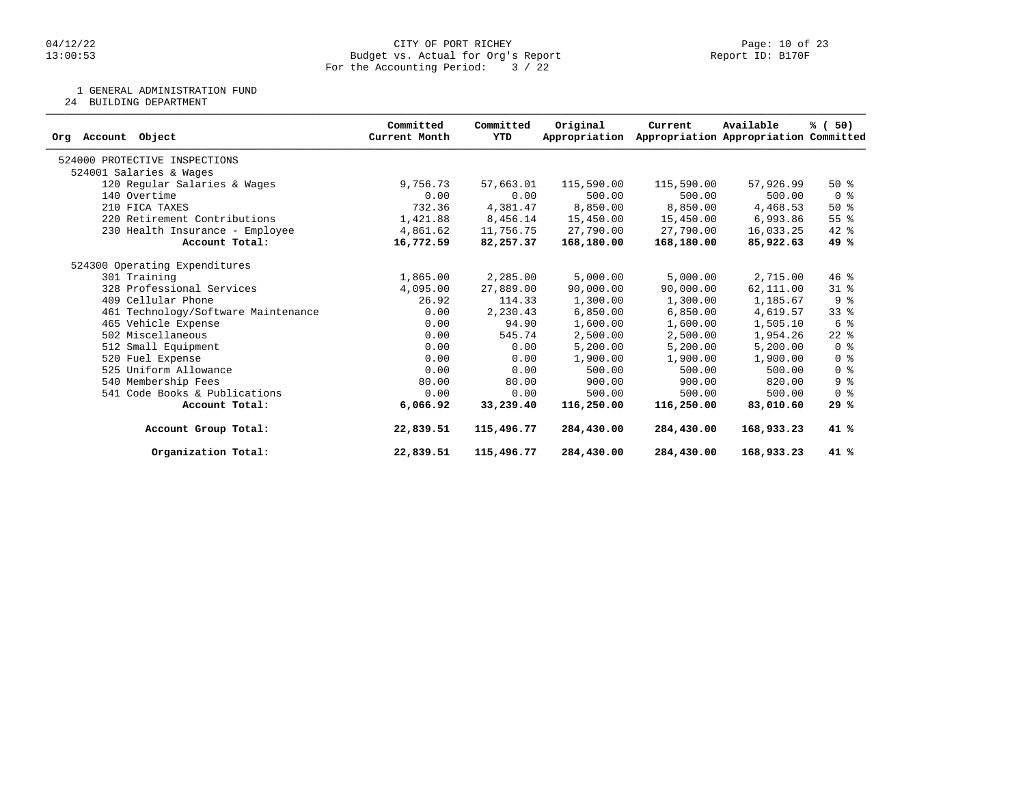1 GENERAL ADMINISTRATION FUND

24 BUILDING DEPARTMENT

| Object<br>Account<br>Org            | Committed<br>Current Month | Committed<br>YTD | Original<br>Appropriation | Current    | Available<br>Appropriation Appropriation Committed | % (50)         |
|-------------------------------------|----------------------------|------------------|---------------------------|------------|----------------------------------------------------|----------------|
| 524000 PROTECTIVE INSPECTIONS       |                            |                  |                           |            |                                                    |                |
| 524001 Salaries & Wages             |                            |                  |                           |            |                                                    |                |
| 120 Regular Salaries & Wages        | 9,756.73                   | 57,663.01        | 115,590.00                | 115,590.00 | 57,926.99                                          | $50*$          |
| 140 Overtime                        | 0.00                       | 0.00             | 500.00                    | 500.00     | 500.00                                             | 0 <sup>8</sup> |
| 210 FICA TAXES                      | 732.36                     | 4,381.47         | 8,850.00                  | 8,850.00   | 4,468.53                                           | $50*$          |
| 220 Retirement Contributions        | 1,421.88                   | 8,456.14         | 15,450.00                 | 15,450.00  | 6,993.86                                           | 55%            |
| 230 Health Insurance - Employee     | 4,861.62                   | 11,756.75        | 27,790.00                 | 27,790.00  | 16,033.25                                          | $42$ %         |
| Account Total:                      | 16,772.59                  | 82,257.37        | 168,180.00                | 168,180.00 | 85,922.63                                          | 49 %           |
| 524300 Operating Expenditures       |                            |                  |                           |            |                                                    |                |
| 301 Training                        | 1,865.00                   | 2,285.00         | 5,000.00                  | 5,000.00   | 2,715.00                                           | $46$ %         |
| 328 Professional Services           | 4,095.00                   | 27,889.00        | 90,000.00                 | 90,000.00  | 62,111.00                                          | $31*$          |
| 409 Cellular Phone                  | 26.92                      | 114.33           | 1,300.00                  | 1,300.00   | 1,185.67                                           | 9 <sup>°</sup> |
| 461 Technology/Software Maintenance | 0.00                       | 2,230.43         | 6,850.00                  | 6,850.00   | 4,619.57                                           | $33*$          |
| 465 Vehicle Expense                 | 0.00                       | 94.90            | 1,600.00                  | 1,600.00   | 1,505.10                                           | 6 %            |
| 502 Miscellaneous                   | 0.00                       | 545.74           | 2,500.00                  | 2,500.00   | 1,954.26                                           | $22$ $%$       |
| 512 Small Equipment                 | 0.00                       | 0.00             | 5,200.00                  | 5,200.00   | 5,200.00                                           | 0 <sup>8</sup> |
| 520 Fuel Expense                    | 0.00                       | 0.00             | 1,900.00                  | 1,900.00   | 1,900.00                                           | 0 <sup>8</sup> |
| 525 Uniform Allowance               | 0.00                       | 0.00             | 500.00                    | 500.00     | 500.00                                             | 0 <sup>8</sup> |
| 540 Membership Fees                 | 80.00                      | 80.00            | 900.00                    | 900.00     | 820.00                                             | 9%             |
| 541 Code Books & Publications       | 0.00                       | 0.00             | 500.00                    | 500.00     | 500.00                                             | 0 <sup>8</sup> |
| Account Total:                      | 6,066.92                   | 33,239.40        | 116,250.00                | 116,250.00 | 83,010.60                                          | 29%            |
| Account Group Total:                | 22,839.51                  | 115,496.77       | 284,430.00                | 284,430.00 | 168,933.23                                         | 41 %           |
| Organization Total:                 | 22,839.51                  | 115,496.77       | 284,430.00                | 284,430.00 | 168,933.23                                         | 41 %           |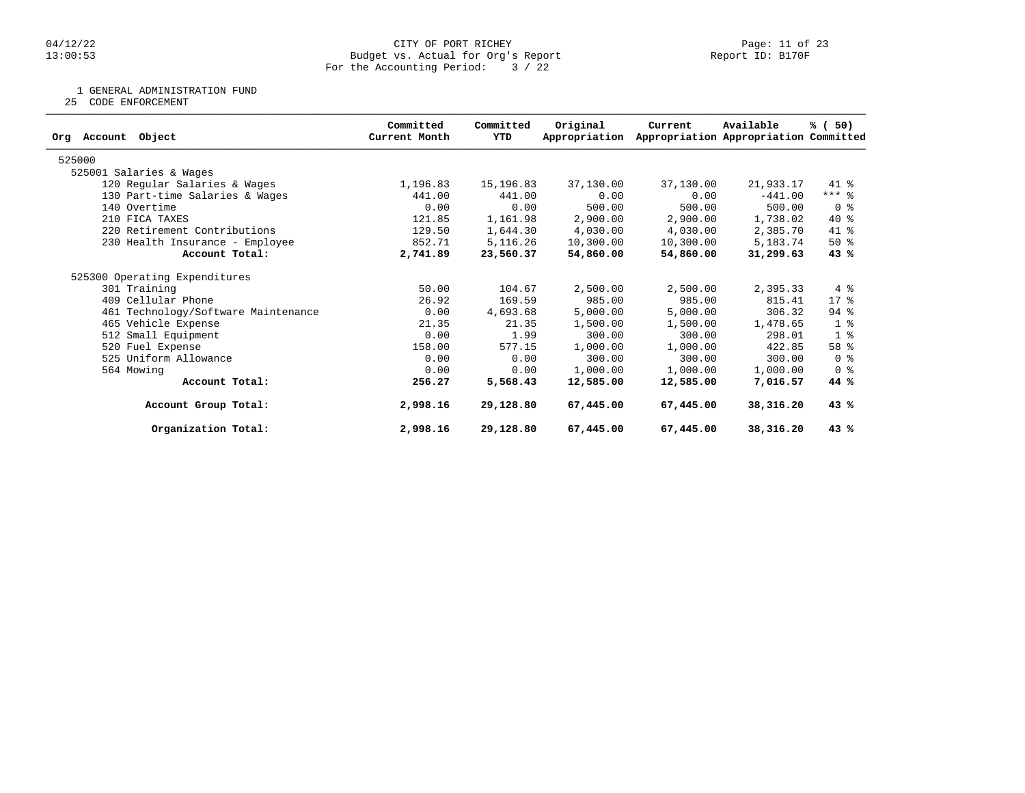#### 04/12/22 Page: 11 of 23 13:00:53 Budget vs. Actual for Org's Report Report ID: B170F For the Accounting Period: 3 / 22

1 GENERAL ADMINISTRATION FUND

25 CODE ENFORCEMENT

| Committed<br>Original<br>Available<br>Committed<br>Current<br>Appropriation Appropriation Committed<br>Org Account Object<br>Current Month<br>YTD<br>Appropriation<br>525000<br>525001 Salaries & Wages<br>120 Regular Salaries & Wages<br>1,196.83<br>15,196.83<br>37,130.00<br>37,130.00<br>21,933.17<br>441.00<br>0.00<br>0.00<br>130 Part-time Salaries & Wages<br>441.00<br>$-441.00$<br>500.00<br>500.00<br>140 Overtime<br>0.00<br>0.00<br>500.00<br>210 FICA TAXES<br>121.85<br>1,161.98<br>2,900.00<br>2,900.00<br>1,738.02<br>220 Retirement Contributions<br>129.50<br>1,644.30<br>4,030.00<br>4,030.00<br>2,385.70<br>852.71<br>5,116.26<br>10,300.00<br>230 Health Insurance - Employee<br>10,300.00<br>5,183.74<br>2,741.89<br>54,860.00<br>54,860.00<br>Account Total:<br>23,560.37<br>31,299.63<br>525300 Operating Expenditures<br>301 Training<br>50.00<br>2,500.00<br>2,500.00<br>104.67<br>2,395.33<br>26.92<br>409 Cellular Phone<br>169.59<br>985.00<br>985.00<br>815.41<br>0.00<br>461 Technology/Software Maintenance<br>4,693.68<br>5,000.00<br>5,000.00<br>306.32<br>465 Vehicle Expense<br>21.35<br>1,478.65<br>21.35<br>1,500.00<br>1,500.00<br>0.00<br>1.99<br>512 Small Equipment<br>300.00<br>300.00<br>298.01<br>520 Fuel Expense<br>158.00<br>577.15<br>422.85<br>1,000.00<br>1,000.00<br>525 Uniform Allowance<br>0.00<br>0.00<br>300.00<br>300.00<br>300.00<br>0.00<br>0.00<br>1,000.00<br>1,000.00<br>1,000.00<br>564 Mowing<br>256.27<br>7,016.57<br>Account Total:<br>5,568.43<br>12,585.00<br>12,585.00<br>2,998.16<br>67,445.00<br>Account Group Total:<br>29,128.80<br>67,445,00<br>38,316.20<br>29,128.80<br>Organization Total:<br>2,998.16<br>67,445.00<br>67,445.00<br>38,316.20 |  |  |  |                 |
|-------------------------------------------------------------------------------------------------------------------------------------------------------------------------------------------------------------------------------------------------------------------------------------------------------------------------------------------------------------------------------------------------------------------------------------------------------------------------------------------------------------------------------------------------------------------------------------------------------------------------------------------------------------------------------------------------------------------------------------------------------------------------------------------------------------------------------------------------------------------------------------------------------------------------------------------------------------------------------------------------------------------------------------------------------------------------------------------------------------------------------------------------------------------------------------------------------------------------------------------------------------------------------------------------------------------------------------------------------------------------------------------------------------------------------------------------------------------------------------------------------------------------------------------------------------------------------------------------------------------------------------------------------------------------------------------------------------------------------|--|--|--|-----------------|
|                                                                                                                                                                                                                                                                                                                                                                                                                                                                                                                                                                                                                                                                                                                                                                                                                                                                                                                                                                                                                                                                                                                                                                                                                                                                                                                                                                                                                                                                                                                                                                                                                                                                                                                               |  |  |  | % (50)          |
|                                                                                                                                                                                                                                                                                                                                                                                                                                                                                                                                                                                                                                                                                                                                                                                                                                                                                                                                                                                                                                                                                                                                                                                                                                                                                                                                                                                                                                                                                                                                                                                                                                                                                                                               |  |  |  |                 |
|                                                                                                                                                                                                                                                                                                                                                                                                                                                                                                                                                                                                                                                                                                                                                                                                                                                                                                                                                                                                                                                                                                                                                                                                                                                                                                                                                                                                                                                                                                                                                                                                                                                                                                                               |  |  |  |                 |
|                                                                                                                                                                                                                                                                                                                                                                                                                                                                                                                                                                                                                                                                                                                                                                                                                                                                                                                                                                                                                                                                                                                                                                                                                                                                                                                                                                                                                                                                                                                                                                                                                                                                                                                               |  |  |  | 41 %            |
|                                                                                                                                                                                                                                                                                                                                                                                                                                                                                                                                                                                                                                                                                                                                                                                                                                                                                                                                                                                                                                                                                                                                                                                                                                                                                                                                                                                                                                                                                                                                                                                                                                                                                                                               |  |  |  | $***$ $%$       |
|                                                                                                                                                                                                                                                                                                                                                                                                                                                                                                                                                                                                                                                                                                                                                                                                                                                                                                                                                                                                                                                                                                                                                                                                                                                                                                                                                                                                                                                                                                                                                                                                                                                                                                                               |  |  |  | 0 %             |
|                                                                                                                                                                                                                                                                                                                                                                                                                                                                                                                                                                                                                                                                                                                                                                                                                                                                                                                                                                                                                                                                                                                                                                                                                                                                                                                                                                                                                                                                                                                                                                                                                                                                                                                               |  |  |  | $40*$           |
|                                                                                                                                                                                                                                                                                                                                                                                                                                                                                                                                                                                                                                                                                                                                                                                                                                                                                                                                                                                                                                                                                                                                                                                                                                                                                                                                                                                                                                                                                                                                                                                                                                                                                                                               |  |  |  | 41 %            |
|                                                                                                                                                                                                                                                                                                                                                                                                                                                                                                                                                                                                                                                                                                                                                                                                                                                                                                                                                                                                                                                                                                                                                                                                                                                                                                                                                                                                                                                                                                                                                                                                                                                                                                                               |  |  |  | $50*$           |
|                                                                                                                                                                                                                                                                                                                                                                                                                                                                                                                                                                                                                                                                                                                                                                                                                                                                                                                                                                                                                                                                                                                                                                                                                                                                                                                                                                                                                                                                                                                                                                                                                                                                                                                               |  |  |  | 43%             |
|                                                                                                                                                                                                                                                                                                                                                                                                                                                                                                                                                                                                                                                                                                                                                                                                                                                                                                                                                                                                                                                                                                                                                                                                                                                                                                                                                                                                                                                                                                                                                                                                                                                                                                                               |  |  |  |                 |
|                                                                                                                                                                                                                                                                                                                                                                                                                                                                                                                                                                                                                                                                                                                                                                                                                                                                                                                                                                                                                                                                                                                                                                                                                                                                                                                                                                                                                                                                                                                                                                                                                                                                                                                               |  |  |  | 4%              |
|                                                                                                                                                                                                                                                                                                                                                                                                                                                                                                                                                                                                                                                                                                                                                                                                                                                                                                                                                                                                                                                                                                                                                                                                                                                                                                                                                                                                                                                                                                                                                                                                                                                                                                                               |  |  |  | $17*$           |
|                                                                                                                                                                                                                                                                                                                                                                                                                                                                                                                                                                                                                                                                                                                                                                                                                                                                                                                                                                                                                                                                                                                                                                                                                                                                                                                                                                                                                                                                                                                                                                                                                                                                                                                               |  |  |  | $94$ %          |
|                                                                                                                                                                                                                                                                                                                                                                                                                                                                                                                                                                                                                                                                                                                                                                                                                                                                                                                                                                                                                                                                                                                                                                                                                                                                                                                                                                                                                                                                                                                                                                                                                                                                                                                               |  |  |  | 1 <sup>8</sup>  |
|                                                                                                                                                                                                                                                                                                                                                                                                                                                                                                                                                                                                                                                                                                                                                                                                                                                                                                                                                                                                                                                                                                                                                                                                                                                                                                                                                                                                                                                                                                                                                                                                                                                                                                                               |  |  |  | 1 <sup>8</sup>  |
|                                                                                                                                                                                                                                                                                                                                                                                                                                                                                                                                                                                                                                                                                                                                                                                                                                                                                                                                                                                                                                                                                                                                                                                                                                                                                                                                                                                                                                                                                                                                                                                                                                                                                                                               |  |  |  | 58 <sup>8</sup> |
|                                                                                                                                                                                                                                                                                                                                                                                                                                                                                                                                                                                                                                                                                                                                                                                                                                                                                                                                                                                                                                                                                                                                                                                                                                                                                                                                                                                                                                                                                                                                                                                                                                                                                                                               |  |  |  | 0 %             |
|                                                                                                                                                                                                                                                                                                                                                                                                                                                                                                                                                                                                                                                                                                                                                                                                                                                                                                                                                                                                                                                                                                                                                                                                                                                                                                                                                                                                                                                                                                                                                                                                                                                                                                                               |  |  |  | 0 <sup>8</sup>  |
|                                                                                                                                                                                                                                                                                                                                                                                                                                                                                                                                                                                                                                                                                                                                                                                                                                                                                                                                                                                                                                                                                                                                                                                                                                                                                                                                                                                                                                                                                                                                                                                                                                                                                                                               |  |  |  | 44 %            |
|                                                                                                                                                                                                                                                                                                                                                                                                                                                                                                                                                                                                                                                                                                                                                                                                                                                                                                                                                                                                                                                                                                                                                                                                                                                                                                                                                                                                                                                                                                                                                                                                                                                                                                                               |  |  |  | 43%             |
|                                                                                                                                                                                                                                                                                                                                                                                                                                                                                                                                                                                                                                                                                                                                                                                                                                                                                                                                                                                                                                                                                                                                                                                                                                                                                                                                                                                                                                                                                                                                                                                                                                                                                                                               |  |  |  | 43%             |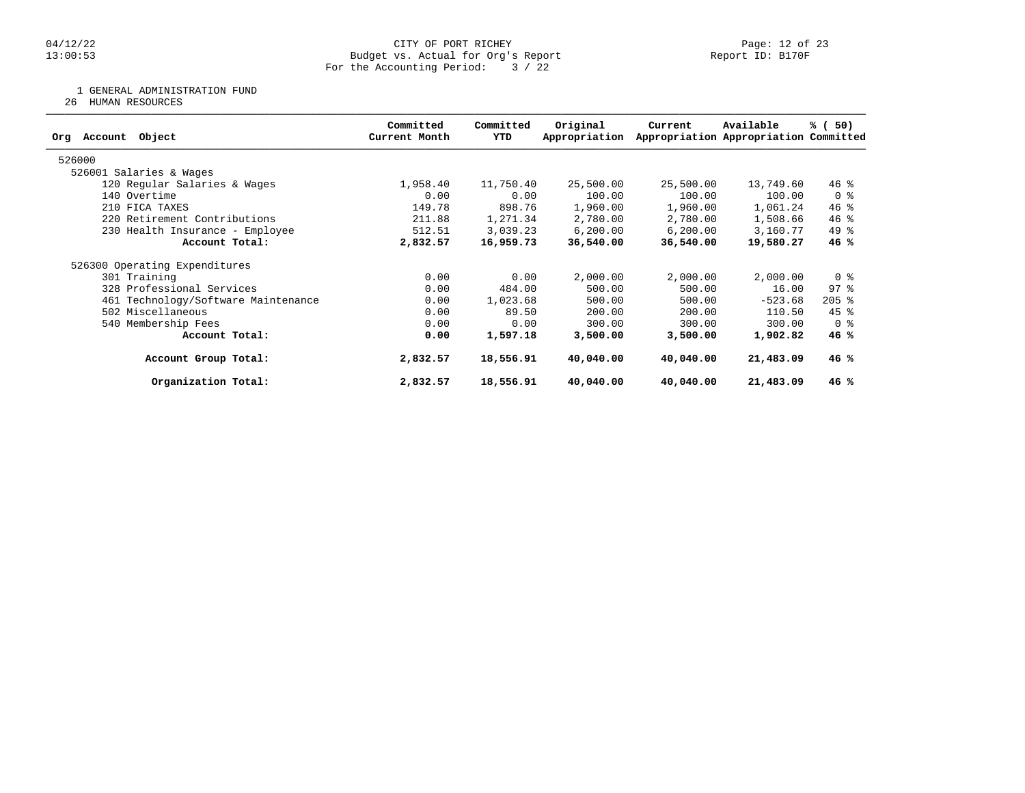#### 04/12/22 CITY OF PORT RICHEY Page: 12 of 23 13:00:53 Budget vs. Actual for Org's Report Report ID: B170F For the Accounting Period: 3 / 22

1 GENERAL ADMINISTRATION FUND

26 HUMAN RESOURCES

| Object<br>Org Account               | Committed<br>Current Month | Committed<br>YTD | Original<br>Appropriation | Current   | Available<br>Appropriation Appropriation Committed | % (50)              |
|-------------------------------------|----------------------------|------------------|---------------------------|-----------|----------------------------------------------------|---------------------|
| 526000                              |                            |                  |                           |           |                                                    |                     |
| 526001 Salaries & Wages             |                            |                  |                           |           |                                                    |                     |
| 120 Regular Salaries & Wages        | 1,958.40                   | 11,750.40        | 25,500.00                 | 25,500.00 | 13,749.60                                          | $46$ %              |
| 140 Overtime                        | 0.00                       | 0.00             | 100.00                    | 100.00    | 100.00                                             | 0 <sup>8</sup>      |
| 210 FICA TAXES                      | 149.78                     | 898.76           | 1,960.00                  | 1,960.00  | 1,061.24                                           | 46%                 |
| 220 Retirement Contributions        | 211.88                     | 1,271.34         | 2,780.00                  | 2,780.00  | 1,508.66                                           | $46*$               |
| 230 Health Insurance - Employee     | 512.51                     | 3,039.23         | 6, 200.00                 | 6, 200.00 | 3,160.77                                           | 49 %                |
| Account Total:                      | 2,832.57                   | 16,959.73        | 36,540.00                 | 36,540.00 | 19,580.27                                          | 46%                 |
| 526300 Operating Expenditures       |                            |                  |                           |           |                                                    |                     |
| 301 Training                        | 0.00                       | 0.00             | 2,000.00                  | 2,000.00  | 2,000.00                                           | 0 <sup>8</sup>      |
| 328 Professional Services           | 0.00                       | 484.00           | 500.00                    | 500.00    | 16.00                                              | $97$ $\frac{6}{3}$  |
| 461 Technology/Software Maintenance | 0.00                       | 1,023.68         | 500.00                    | 500.00    | $-523.68$                                          | $205$ $\frac{6}{5}$ |
| 502 Miscellaneous                   | 0.00                       | 89.50            | 200.00                    | 200.00    | 110.50                                             | $45$ %              |
| 540 Membership Fees                 | 0.00                       | 0.00             | 300.00                    | 300.00    | 300.00                                             | 0 <sup>8</sup>      |
| Account Total:                      | 0.00                       | 1,597.18         | 3,500.00                  | 3,500.00  | 1,902.82                                           | 46%                 |
| Account Group Total:                | 2,832.57                   | 18,556.91        | 40,040.00                 | 40,040.00 | 21,483.09                                          | 46%                 |
| Organization Total:                 | 2,832.57                   | 18,556.91        | 40,040.00                 | 40,040.00 | 21,483.09                                          | 46%                 |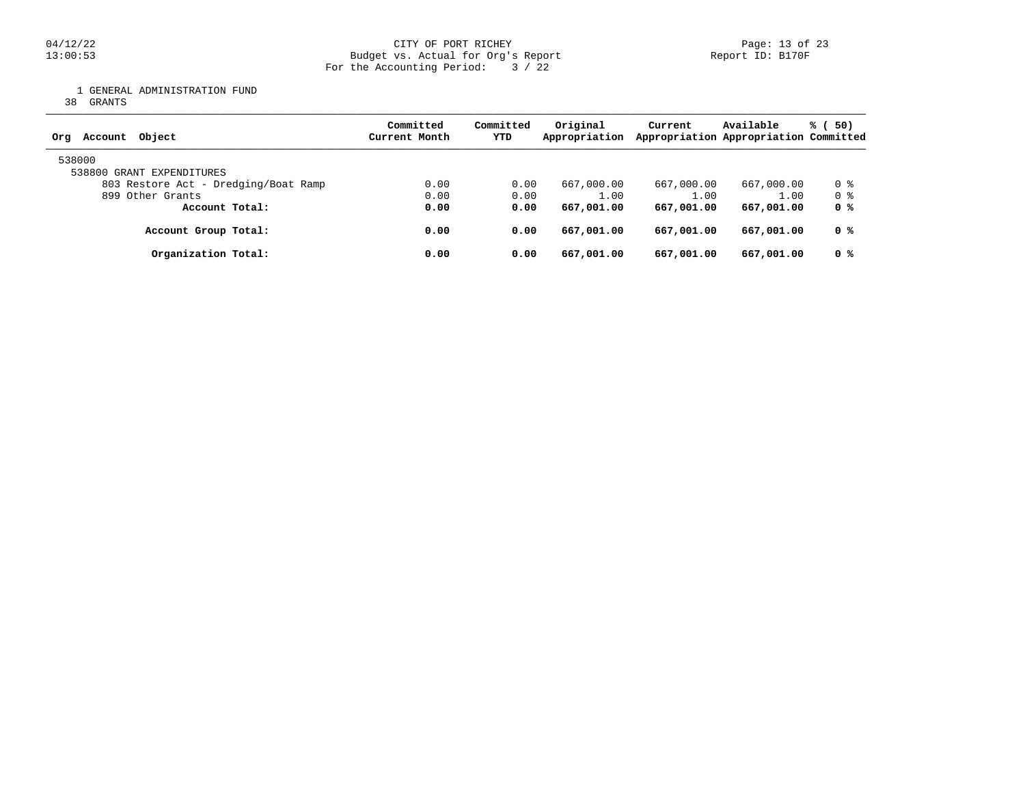1 GENERAL ADMINISTRATION FUND

38 GRANTS

| Object<br>Account<br>Org             | Committed<br>Current Month | Committed<br>YTD | Original<br>Appropriation | Current    | Available<br>Appropriation Appropriation Committed | % (<br>50) |
|--------------------------------------|----------------------------|------------------|---------------------------|------------|----------------------------------------------------|------------|
| 538000<br>538800 GRANT EXPENDITURES  |                            |                  |                           |            |                                                    |            |
| 803 Restore Act - Dredging/Boat Ramp | 0.00                       | 0.00             | 667,000.00                | 667,000.00 | 667,000.00                                         | 0 %        |
| 899 Other Grants                     | 0.00                       | 0.00             | 1.00                      | 1.00       | 1.00                                               | 0 %        |
| Account Total:                       | 0.00                       | 0.00             | 667,001.00                | 667,001.00 | 667,001.00                                         | 0 %        |
| Account Group Total:                 | 0.00                       | 0.00             | 667,001.00                | 667,001.00 | 667,001.00                                         | 0 %        |
| Organization Total:                  | 0.00                       | 0.00             | 667,001.00                | 667,001.00 | 667,001.00                                         | 0 %        |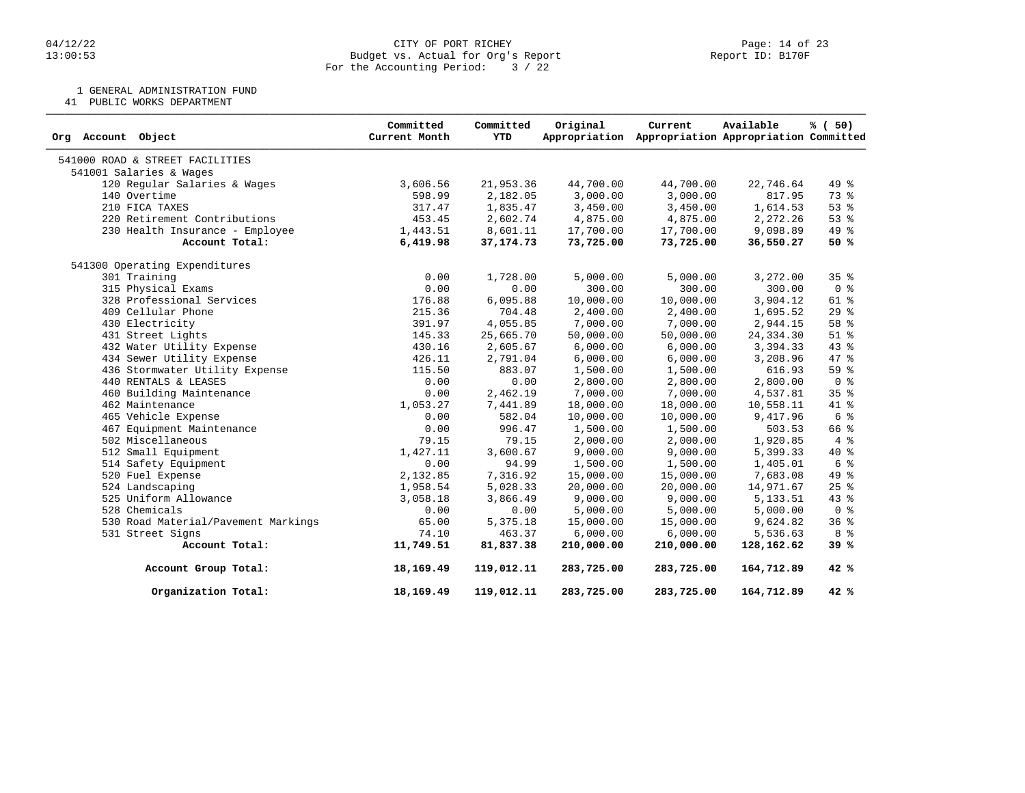#### 04/12/22 Page: 14 of 23 13:00:53 Budget vs. Actual for Org's Report Report ID: B170F For the Accounting Period: 3 / 22

1 GENERAL ADMINISTRATION FUND

41 PUBLIC WORKS DEPARTMENT

| Org Account Object                  | Committed<br>Current Month | Committed<br><b>YTD</b> | Original   | Current<br>Appropriation Appropriation Appropriation Committed | Available  | % (50)          |
|-------------------------------------|----------------------------|-------------------------|------------|----------------------------------------------------------------|------------|-----------------|
| 541000 ROAD & STREET FACILITIES     |                            |                         |            |                                                                |            |                 |
| 541001 Salaries & Wages             |                            |                         |            |                                                                |            |                 |
| 120 Regular Salaries & Wages        | 3,606.56                   | 21,953.36               | 44,700.00  | 44,700.00                                                      | 22,746.64  | 49 %            |
| 140 Overtime                        | 598.99                     | 2,182.05                | 3,000.00   | 3,000.00                                                       | 817.95     | 73 %            |
| 210 FICA TAXES                      | 317.47                     | 1,835.47                | 3,450.00   | 3,450.00                                                       | 1,614.53   | 53%             |
| 220 Retirement Contributions        | 453.45                     | 2,602.74                | 4,875.00   | 4,875.00                                                       | 2,272.26   | 53%             |
| 230 Health Insurance - Employee     | 1,443.51                   | 8,601.11                | 17,700.00  | 17,700.00                                                      | 9,098.89   | 49 %            |
| Account Total:                      | 6,419.98                   | 37, 174. 73             | 73,725.00  | 73,725.00                                                      | 36,550.27  | 50%             |
| 541300 Operating Expenditures       |                            |                         |            |                                                                |            |                 |
| 301 Training                        | 0.00                       | 1,728.00                | 5,000.00   | 5,000.00                                                       | 3,272.00   | 35%             |
| 315 Physical Exams                  | 0.00                       | 0.00                    | 300.00     | 300.00                                                         | 300.00     | 0 <sup>8</sup>  |
| 328 Professional Services           | 176.88                     | 6,095.88                | 10,000.00  | 10,000.00                                                      | 3,904.12   | $61$ %          |
| 409 Cellular Phone                  | 215.36                     | 704.48                  | 2,400.00   | 2,400.00                                                       | 1,695.52   | 29%             |
| 430 Electricity                     | 391.97                     | 4,055.85                | 7,000.00   | 7,000.00                                                       | 2,944.15   | 58 %            |
| 431 Street Lights                   | 145.33                     | 25,665.70               | 50,000.00  | 50,000.00                                                      | 24, 334.30 | $51$ $%$        |
| 432 Water Utility Expense           | 430.16                     | 2,605.67                | 6,000.00   | 6,000.00                                                       | 3,394.33   | 43 %            |
| 434 Sewer Utility Expense           | 426.11                     | 2,791.04                | 6,000.00   | 6,000.00                                                       | 3,208.96   | 47 %            |
| 436 Stormwater Utility Expense      | 115.50                     | 883.07                  | 1,500.00   | 1,500.00                                                       | 616.93     | 59%             |
| 440 RENTALS & LEASES                | 0.00                       | 0.00                    | 2,800.00   | 2,800.00                                                       | 2,800.00   | 0 <sup>8</sup>  |
| 460 Building Maintenance            | 0.00                       | 2,462.19                | 7,000.00   | 7,000.00                                                       | 4,537.81   | 35 <sup>8</sup> |
| 462 Maintenance                     | 1,053.27                   | 7,441.89                | 18,000.00  | 18,000.00                                                      | 10,558.11  | 41 %            |
| 465 Vehicle Expense                 | 0.00                       | 582.04                  | 10,000.00  | 10,000.00                                                      | 9,417.96   | 6 <sup>8</sup>  |
| 467 Equipment Maintenance           | 0.00                       | 996.47                  | 1,500.00   | 1,500.00                                                       | 503.53     | 66 %            |
| 502 Miscellaneous                   | 79.15                      | 79.15                   | 2,000.00   | 2,000.00                                                       | 1,920.85   | 4%              |
| 512 Small Equipment                 | 1,427.11                   | 3,600.67                | 9,000.00   | 9,000.00                                                       | 5,399.33   | $40*$           |
| 514 Safety Equipment                | 0.00                       | 94.99                   | 1,500.00   | 1,500.00                                                       | 1,405.01   | 6 %             |
| 520 Fuel Expense                    | 2,132.85                   | 7,316.92                | 15,000.00  | 15,000.00                                                      | 7,683.08   | 49 %            |
| 524 Landscaping                     | 1,958.54                   | 5,028.33                | 20,000.00  | 20,000.00                                                      | 14,971.67  | $25$ $%$        |
| 525 Uniform Allowance               | 3,058.18                   | 3,866.49                | 9,000.00   | 9,000.00                                                       | 5, 133.51  | $43*$           |
| 528 Chemicals                       | 0.00                       | 0.00                    | 5,000.00   | 5,000.00                                                       | 5,000.00   | 0 <sup>8</sup>  |
| 530 Road Material/Pavement Markings | 65.00                      | 5,375.18                | 15,000.00  | 15,000.00                                                      | 9,624.82   | 36%             |
| 531 Street Signs                    | 74.10                      | 463.37                  | 6,000.00   | 6,000.00                                                       | 5,536.63   | 8 %             |
| Account Total:                      | 11,749.51                  | 81,837.38               | 210,000.00 | 210,000.00                                                     | 128,162.62 | 39%             |
| Account Group Total:                | 18,169.49                  | 119,012.11              | 283,725.00 | 283,725.00                                                     | 164,712.89 | 42 %            |
| Organization Total:                 | 18,169.49                  | 119,012.11              | 283,725.00 | 283,725.00                                                     | 164,712.89 | 42%             |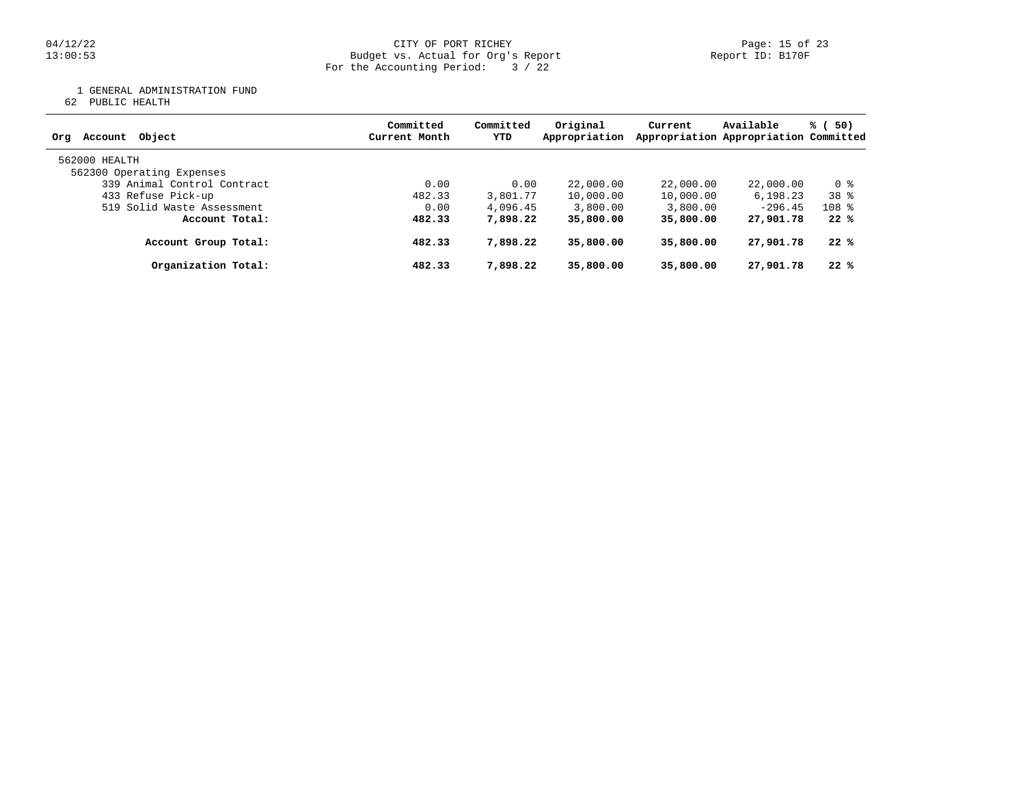#### 04/12/22 Page: 15 of 23 13:00:53 Budget vs. Actual for Org's Report Report ID: B170F For the Accounting Period: 3 / 22

1 GENERAL ADMINISTRATION FUND

62 PUBLIC HEALTH

| Obiect<br>Account<br>Org                   | Committed<br>Current Month | Committed<br>YTD | Original<br>Appropriation | Current   | Available<br>Appropriation Appropriation Committed | % (50)  |
|--------------------------------------------|----------------------------|------------------|---------------------------|-----------|----------------------------------------------------|---------|
| 562000 HEALTH<br>562300 Operating Expenses |                            |                  |                           |           |                                                    |         |
| 339 Animal Control Contract                | 0.00                       | 0.00             | 22,000.00                 | 22,000.00 | 22,000.00                                          | 0 %     |
| 433 Refuse Pick-up                         | 482.33                     | 3,801.77         | 10,000.00                 | 10,000.00 | 6,198.23                                           | $38*$   |
| 519 Solid Waste Assessment                 | 0.00                       | 4,096.45         | 3,800.00                  | 3,800.00  | $-296.45$                                          | $108$ % |
| Account Total:                             | 482.33                     | 7,898.22         | 35,800.00                 | 35,800,00 | 27,901.78                                          | 22%     |
| Account Group Total:                       | 482.33                     | 7,898.22         | 35,800,00                 | 35,800,00 | 27,901.78                                          | 22%     |
| Organization Total:                        | 482.33                     | 7,898.22         | 35,800.00                 | 35,800,00 | 27,901.78                                          | 22%     |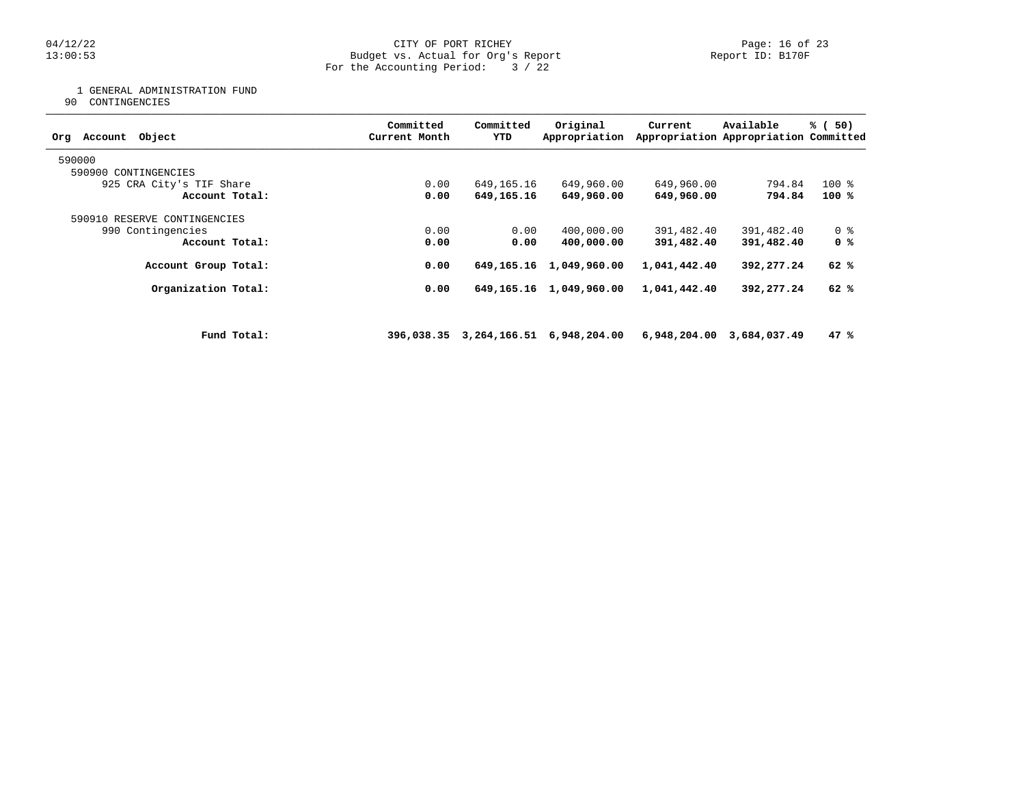1 GENERAL ADMINISTRATION FUND

90 CONTINGENCIES

| Object<br>Account<br>Org     |             | Committed<br>Current Month | Committed<br>YTD | Original<br>Appropriation    | Current      | Available<br>Appropriation Appropriation Committed | % (50)         |
|------------------------------|-------------|----------------------------|------------------|------------------------------|--------------|----------------------------------------------------|----------------|
| 590000                       |             |                            |                  |                              |              |                                                    |                |
| 590900 CONTINGENCIES         |             |                            |                  |                              |              |                                                    |                |
| 925 CRA City's TIF Share     |             | 0.00                       | 649,165.16       | 649,960.00                   | 649,960.00   | 794.84                                             | $100*$         |
| Account Total:               |             | 0.00                       | 649,165.16       | 649,960.00                   | 649,960.00   | 794.84                                             | 100 %          |
| 590910 RESERVE CONTINGENCIES |             |                            |                  |                              |              |                                                    |                |
| 990 Contingencies            |             | 0.00                       | 0.00             | 400,000.00                   | 391,482.40   | 391,482.40                                         | 0 <sub>8</sub> |
| Account Total:               |             | 0.00                       | 0.00             | 400,000.00                   | 391,482.40   | 391,482.40                                         | 0 %            |
| Account Group Total:         |             | 0.00                       | 649,165.16       | 1,049,960.00                 | 1,041,442.40 | 392,277.24                                         | 62 %           |
| Organization Total:          |             | 0.00                       |                  | 649, 165. 16 1, 049, 960. 00 | 1,041,442.40 | 392,277.24                                         | 62 %           |
|                              |             |                            |                  |                              |              |                                                    |                |
|                              | Fund Total: | 396,038.35                 |                  | 3,264,166.51 6,948,204.00    |              | 6,948,204.00 3,684,037.49                          | 47%            |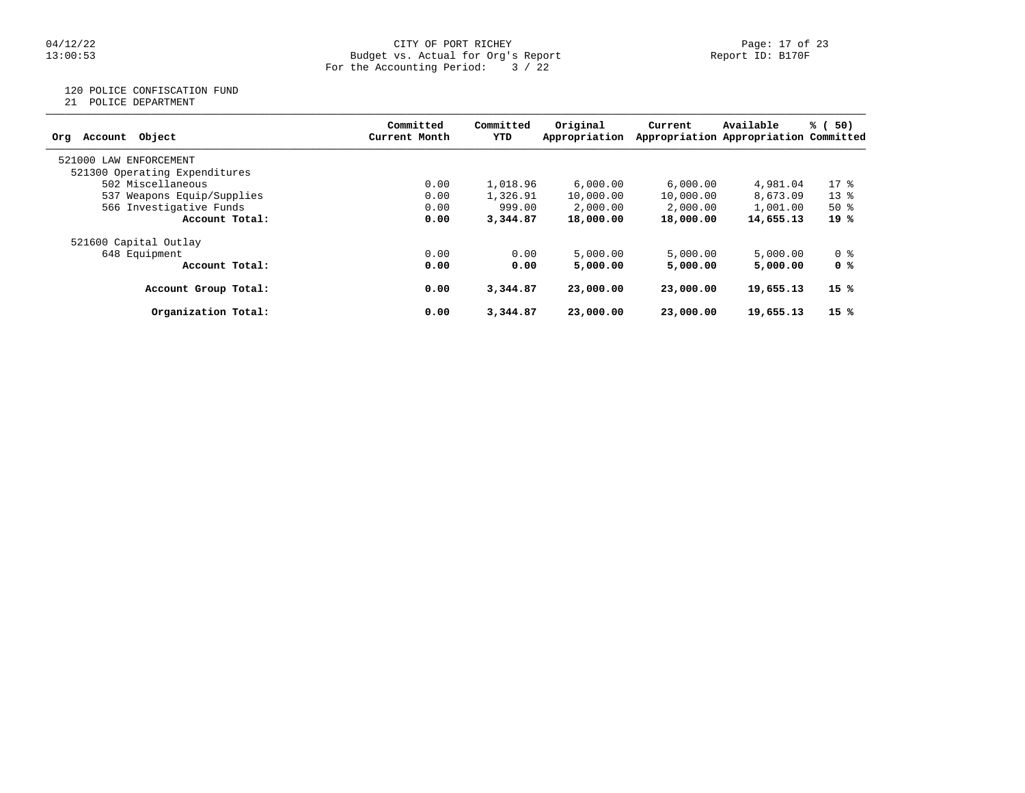#### 04/12/22 Page: 17 of 23 13:00:53 Budget vs. Actual for Org's Report Report ID: B170F For the Accounting Period: 3 / 22

## 120 POLICE CONFISCATION FUND

21 POLICE DEPARTMENT

|                               | Committed     | Committed | Original      |           | Available                             |        |
|-------------------------------|---------------|-----------|---------------|-----------|---------------------------------------|--------|
| Object<br>Account<br>Org      | Current Month | YTD       | Appropriation | Current   | Appropriation Appropriation Committed | % (50) |
| 521000<br>LAW ENFORCEMENT     |               |           |               |           |                                       |        |
| 521300 Operating Expenditures |               |           |               |           |                                       |        |
| 502 Miscellaneous             | 0.00          | 1,018.96  | 6.000.00      | 6,000.00  | 4,981.04                              | $17*$  |
| 537 Weapons Equip/Supplies    | 0.00          | 1,326.91  | 10,000.00     | 10,000.00 | 8,673.09                              | $13*$  |
| 566 Investigative Funds       | 0.00          | 999.00    | 2,000.00      | 2,000.00  | 1,001.00                              | $50*$  |
| Account Total:                | 0.00          | 3,344,87  | 18,000.00     | 18,000.00 | 14,655.13                             | 19 %   |
| 521600 Capital Outlay         |               |           |               |           |                                       |        |
| 648 Equipment                 | 0.00          | 0.00      | 5,000.00      | 5,000.00  | 5,000.00                              | 0 %    |
| Account Total:                | 0.00          | 0.00      | 5,000.00      | 5,000,00  | 5,000,00                              | 0 %    |
| Account Group Total:          | 0.00          | 3,344.87  | 23,000,00     | 23,000,00 | 19,655.13                             | 15 %   |
| Organization Total:           | 0.00          | 3,344.87  | 23,000.00     | 23,000,00 | 19,655.13                             | 15%    |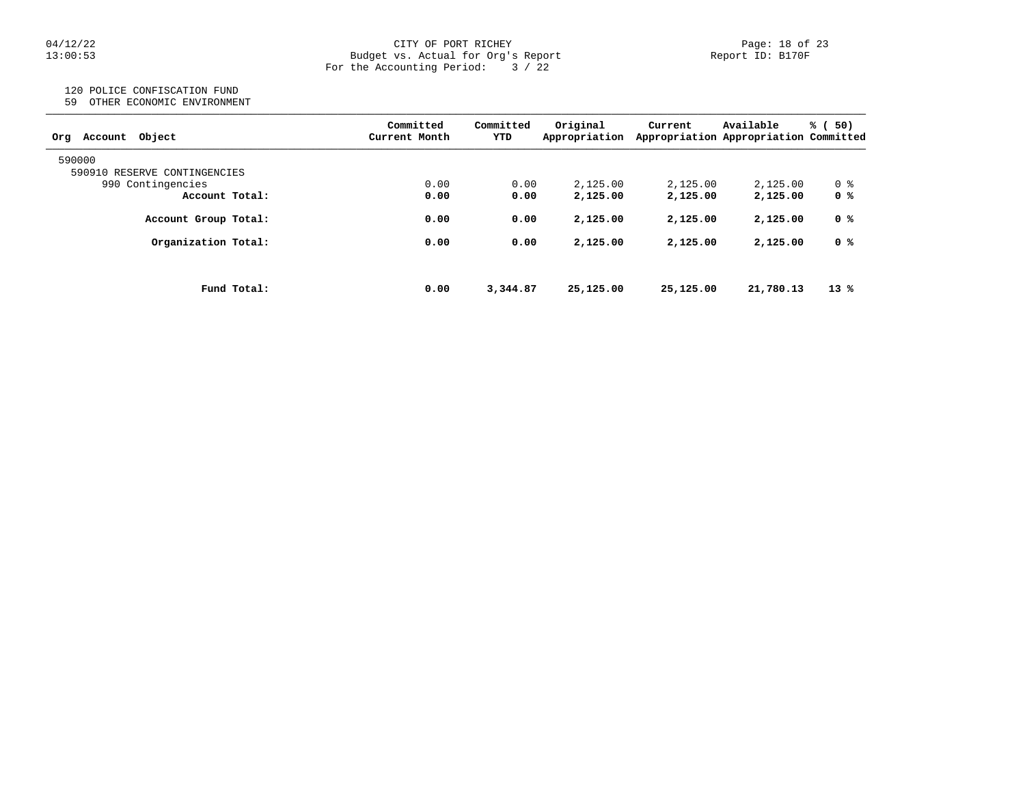#### 04/12/22 Page: 18 of 23 13:00:53 Budget vs. Actual for Org's Report Report ID: B170F For the Accounting Period: 3 / 22

# 120 POLICE CONFISCATION FUND

59 OTHER ECONOMIC ENVIRONMENT

| Object<br>Account<br>Org     | Committed<br>Current Month | Committed<br>YTD | Original<br>Appropriation | Current   | Available<br>Appropriation Appropriation Committed | 50)<br>% (     |
|------------------------------|----------------------------|------------------|---------------------------|-----------|----------------------------------------------------|----------------|
| 590000                       |                            |                  |                           |           |                                                    |                |
| 590910 RESERVE CONTINGENCIES |                            |                  |                           |           |                                                    |                |
| 990 Contingencies            | 0.00                       | 0.00             | 2.125.00                  | 2,125.00  | 2,125.00                                           | 0 %            |
| Account Total:               | 0.00                       | 0.00             | 2,125.00                  | 2,125.00  | 2,125.00                                           | 0 <sup>8</sup> |
| Account Group Total:         | 0.00                       | 0.00             | 2,125.00                  | 2,125.00  | 2,125.00                                           | 0 %            |
| Organization Total:          | 0.00                       | 0.00             | 2,125.00                  | 2,125.00  | 2,125.00                                           | 0 %            |
| Fund Total:                  | 0.00                       | 3,344.87         | 25,125.00                 | 25,125.00 | 21,780.13                                          | $13*$          |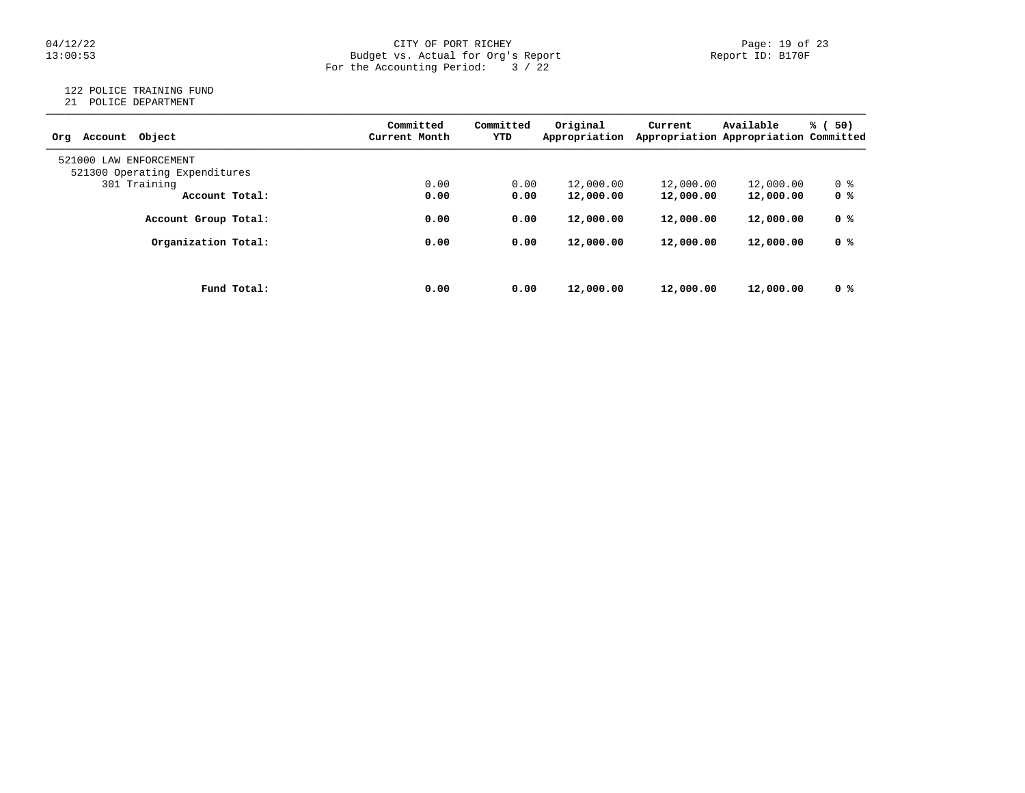# $04/12/22$  Page: 19 of 23<br>Budget vs. Actual for Org's Report Page: 19 of 23<br>Report ID: B170F Budget vs. Actual for Org's Report For the Accounting Period: 3 / 22

## 122 POLICE TRAINING FUND

21 POLICE DEPARTMENT

| Account Object<br>Ora         | Committed<br>Current Month | Committed<br>YTD | Original<br>Appropriation | Current   | Available<br>Appropriation Appropriation Committed | % (<br>50) |
|-------------------------------|----------------------------|------------------|---------------------------|-----------|----------------------------------------------------|------------|
| 521000 LAW ENFORCEMENT        |                            |                  |                           |           |                                                    |            |
| 521300 Operating Expenditures |                            |                  |                           |           |                                                    |            |
| 301 Training                  | 0.00                       | 0.00             | 12,000.00                 | 12,000.00 | 12,000.00                                          | 0 %        |
| Account Total:                | 0.00                       | 0.00             | 12,000.00                 | 12,000.00 | 12,000.00                                          | 0 %        |
| Account Group Total:          | 0.00                       | 0.00             | 12,000.00                 | 12,000.00 | 12,000.00                                          | 0 %        |
| Organization Total:           | 0.00                       | 0.00             | 12,000.00                 | 12,000.00 | 12,000.00                                          | 0 %        |
|                               |                            |                  |                           |           |                                                    |            |
| Fund Total:                   | 0.00                       | 0.00             | 12,000.00                 | 12,000.00 | 12,000.00                                          | 0 %        |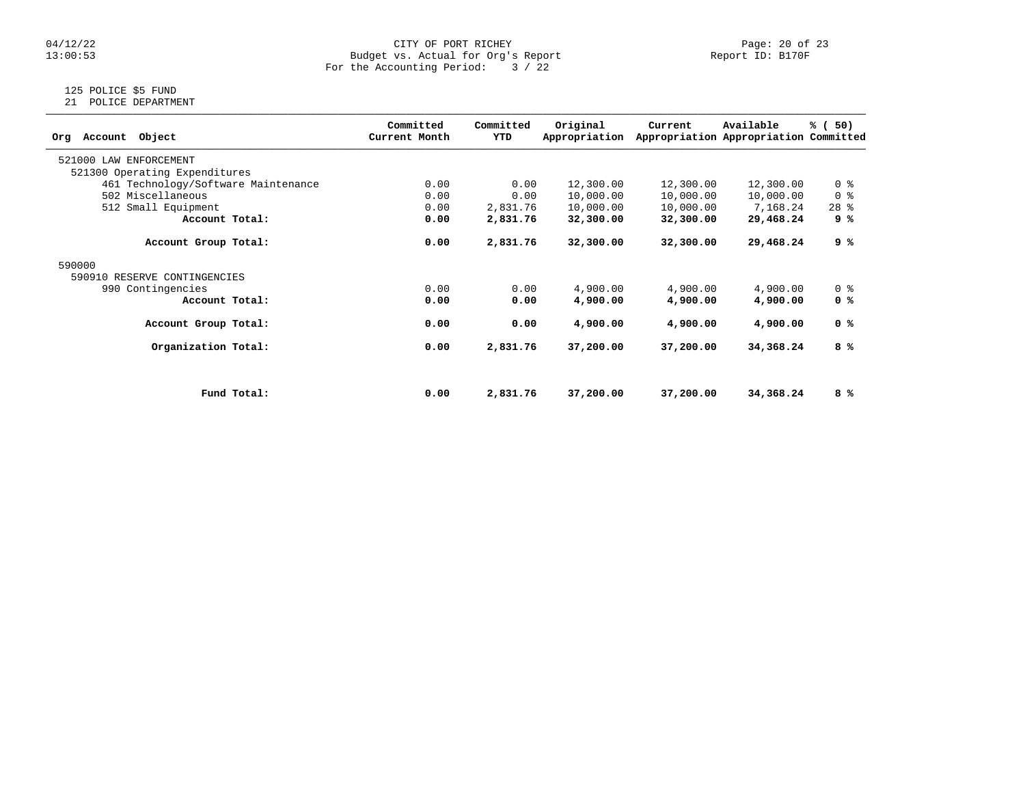# $04/12/22$  Page: 20 of 23<br>Budget vs. Actual for Org's Report Page: 20 of 23<br>Report ID: B170F Budget vs. Actual for Org's Report For the Accounting Period: 3 / 22

# 125 POLICE \$5 FUND

21 POLICE DEPARTMENT

| Object<br>Account<br>Org            | Committed<br>Current Month | Committed<br>YTD | Original<br>Appropriation | Current   | Available<br>Appropriation Appropriation Committed | % (50)         |
|-------------------------------------|----------------------------|------------------|---------------------------|-----------|----------------------------------------------------|----------------|
| 521000 LAW ENFORCEMENT              |                            |                  |                           |           |                                                    |                |
| 521300 Operating Expenditures       |                            |                  |                           |           |                                                    |                |
| 461 Technology/Software Maintenance | 0.00                       | 0.00             | 12,300.00                 | 12,300.00 | 12,300.00                                          | 0 <sub>8</sub> |
| 502 Miscellaneous                   | 0.00                       | 0.00             | 10,000.00                 | 10,000.00 | 10,000.00                                          | 0 <sup>8</sup> |
| 512 Small Equipment                 | 0.00                       | 2,831.76         | 10,000.00                 | 10,000.00 | 7,168.24                                           | $28$ %         |
| Account Total:                      | 0.00                       | 2,831.76         | 32,300.00                 | 32,300.00 | 29,468.24                                          | 9 %            |
| Account Group Total:                | 0.00                       | 2,831.76         | 32,300.00                 | 32,300.00 | 29,468.24                                          | 9 %            |
| 590000                              |                            |                  |                           |           |                                                    |                |
| 590910 RESERVE CONTINGENCIES        |                            |                  |                           |           |                                                    |                |
| 990 Contingencies                   | 0.00                       | 0.00             | 4,900.00                  | 4,900.00  | 4,900.00                                           | 0 <sup>8</sup> |
| Account Total:                      | 0.00                       | 0.00             | 4,900.00                  | 4,900.00  | 4,900.00                                           | 0 %            |
| Account Group Total:                | 0.00                       | 0.00             | 4,900.00                  | 4,900.00  | 4,900.00                                           | 0 %            |
| Organization Total:                 | 0.00                       | 2,831.76         | 37,200.00                 | 37,200.00 | 34,368.24                                          | 8 %            |
|                                     |                            |                  |                           |           |                                                    |                |
| Fund Total:                         | 0.00                       | 2,831.76         | 37,200.00                 | 37,200.00 | 34,368.24                                          | 8 %            |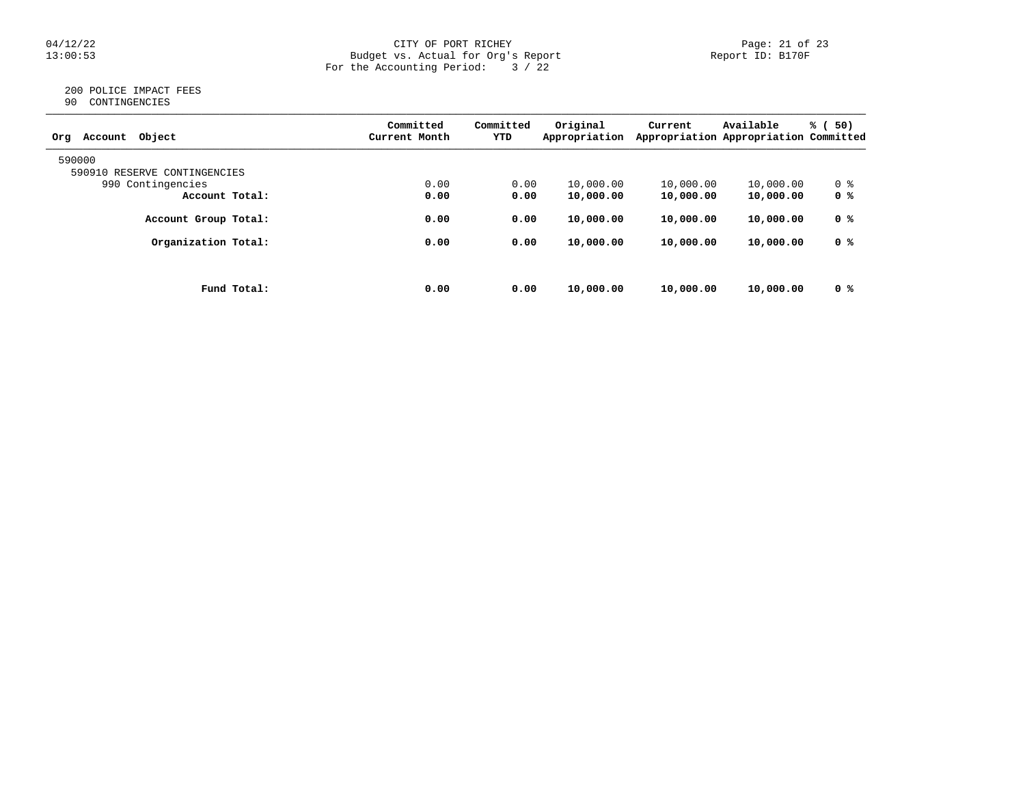#### 04/12/22 Page: 21 of 23 13:00:53 Budget vs. Actual for Org's Report Report ID: B170F For the Accounting Period: 3 / 22

### 200 POLICE IMPACT FEES 90 CONTINGENCIES

| Object<br>Account<br>Org     | Committed<br>Current Month | Committed<br>YTD | Original<br>Appropriation | Current   | Available<br>Appropriation Appropriation Committed | % (<br>50) |
|------------------------------|----------------------------|------------------|---------------------------|-----------|----------------------------------------------------|------------|
| 590000                       |                            |                  |                           |           |                                                    |            |
| 590910 RESERVE CONTINGENCIES |                            |                  |                           |           |                                                    |            |
| 990 Contingencies            | 0.00                       | 0.00             | 10,000.00                 | 10,000.00 | 10,000.00                                          | 0 %        |
| Account Total:               | 0.00                       | 0.00             | 10,000.00                 | 10,000.00 | 10,000.00                                          | 0 %        |
| Account Group Total:         | 0.00                       | 0.00             | 10,000.00                 | 10,000.00 | 10,000.00                                          | 0 %        |
| Organization Total:          | 0.00                       | 0.00             | 10,000.00                 | 10,000.00 | 10,000.00                                          | 0 %        |
|                              |                            |                  |                           |           |                                                    |            |
| Fund Total:                  | 0.00                       | 0.00             | 10,000.00                 | 10,000.00 | 10,000.00                                          | 0 %        |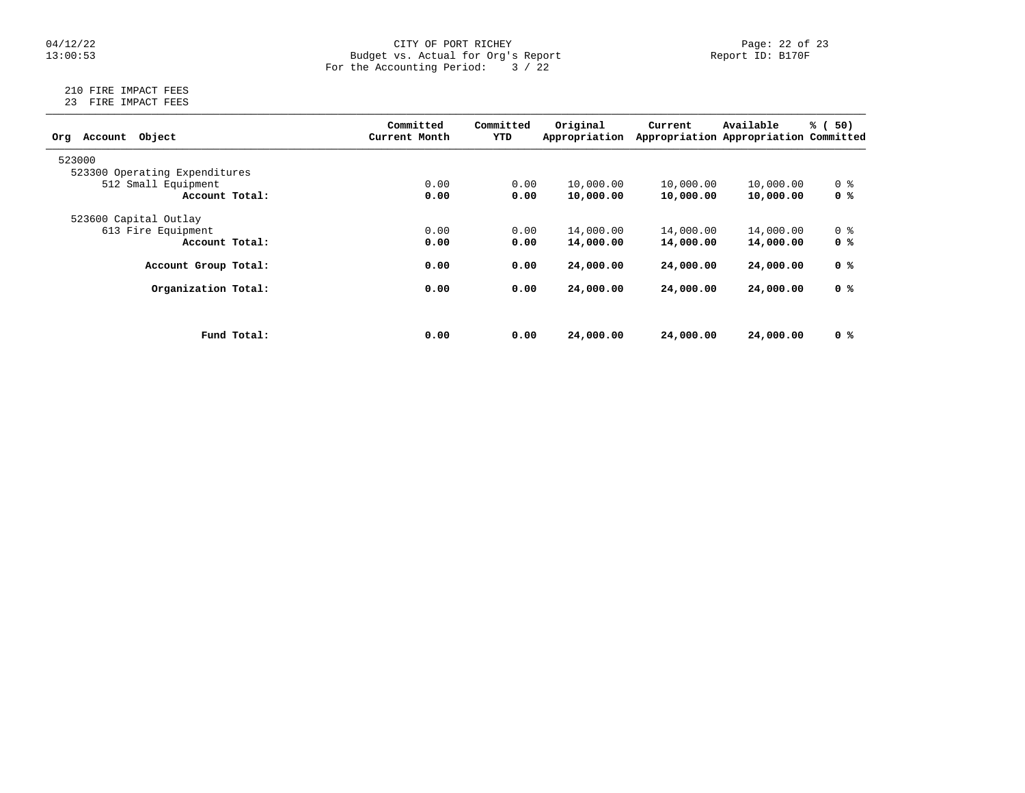#### 04/12/22 Page: 22 of 23 13:00:53 Budget vs. Actual for Org's Report Report ID: B170F For the Accounting Period: 3 / 22

### 210 FIRE IMPACT FEES 23 FIRE IMPACT FEES

| Object<br>Account<br>Org      |             | Committed<br>Current Month | Committed<br>YTD | Original<br>Appropriation | Current   | Available<br>Appropriation Appropriation Committed | % (<br>50)     |
|-------------------------------|-------------|----------------------------|------------------|---------------------------|-----------|----------------------------------------------------|----------------|
| 523000                        |             |                            |                  |                           |           |                                                    |                |
| 523300 Operating Expenditures |             |                            |                  |                           |           |                                                    |                |
| 512 Small Equipment           |             | 0.00                       | 0.00             | 10,000.00                 | 10,000.00 | 10,000.00                                          | 0 %            |
| Account Total:                |             | 0.00                       | 0.00             | 10,000.00                 | 10,000.00 | 10,000.00                                          | 0 %            |
| 523600 Capital Outlay         |             |                            |                  |                           |           |                                                    |                |
| 613 Fire Equipment            |             | 0.00                       | 0.00             | 14,000.00                 | 14,000.00 | 14,000.00                                          | 0 <sup>8</sup> |
| Account Total:                |             | 0.00                       | 0.00             | 14,000.00                 | 14,000.00 | 14,000.00                                          | 0 %            |
| Account Group Total:          |             | 0.00                       | 0.00             | 24,000.00                 | 24,000.00 | 24,000.00                                          | 0 %            |
| Organization Total:           |             | 0.00                       | 0.00             | 24,000.00                 | 24,000.00 | 24,000.00                                          | 0 %            |
|                               |             |                            |                  |                           |           |                                                    |                |
|                               | Fund Total: | 0.00                       | 0.00             | 24,000.00                 | 24,000.00 | 24,000.00                                          | 0 %            |
|                               |             |                            |                  |                           |           |                                                    |                |